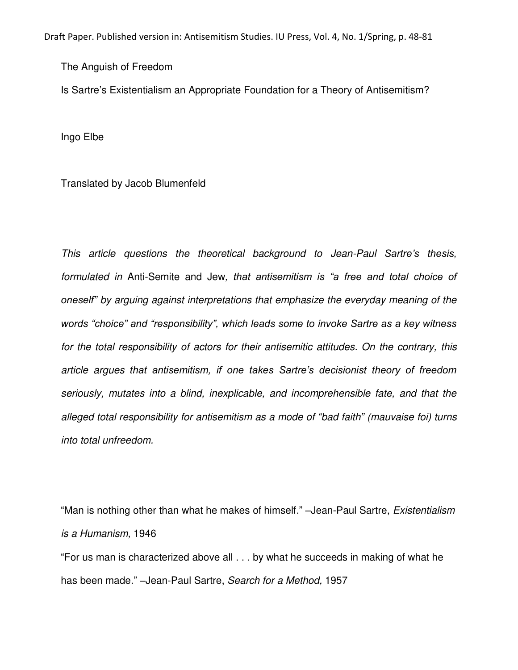Draft Paper. Published version in: Antisemitism Studies. IU Press, Vol. 4, No. 1/Spring, p. 48-81

The Anguish of Freedom

Is Sartre's Existentialism an Appropriate Foundation for a Theory of Antisemitism?

Ingo Elbe

Translated by Jacob Blumenfeld

*This article questions the theoretical background to Jean-Paul Sartre's thesis, formulated in* Anti-Semite and Jew*, that antisemitism is "a free and total choice of oneself" by arguing against interpretations that emphasize the everyday meaning of the words "choice" and "responsibility", which leads some to invoke Sartre as a key witness for the total responsibility of actors for their antisemitic attitudes. On the contrary, this article argues that antisemitism, if one takes Sartre's decisionist theory of freedom seriously, mutates into a blind, inexplicable, and incomprehensible fate, and that the alleged total responsibility for antisemitism as a mode of "bad faith" (mauvaise foi) turns into total unfreedom.* 

"Man is nothing other than what he makes of himself." –Jean-Paul Sartre, *Existentialism is a Humanism,* 1946

"For us man is characterized above all . . . by what he succeeds in making of what he has been made." –Jean-Paul Sartre, *Search for a Method,* 1957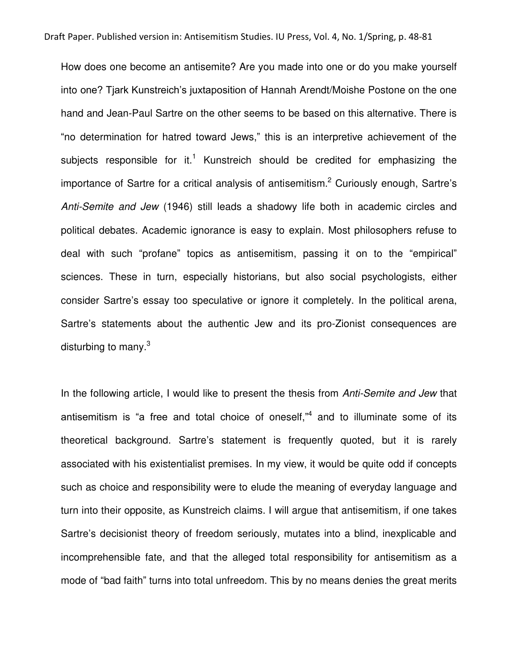How does one become an antisemite? Are you made into one or do you make yourself into one? Tjark Kunstreich's juxtaposition of Hannah Arendt/Moishe Postone on the one hand and Jean-Paul Sartre on the other seems to be based on this alternative. There is "no determination for hatred toward Jews," this is an interpretive achievement of the subjects responsible for it.<sup>1</sup> Kunstreich should be credited for emphasizing the importance of Sartre for a critical analysis of antisemitism.<sup>2</sup> Curiously enough, Sartre's *Anti-Semite and Jew* (1946) still leads a shadowy life both in academic circles and political debates. Academic ignorance is easy to explain. Most philosophers refuse to deal with such "profane" topics as antisemitism, passing it on to the "empirical" sciences. These in turn, especially historians, but also social psychologists, either consider Sartre's essay too speculative or ignore it completely. In the political arena, Sartre's statements about the authentic Jew and its pro-Zionist consequences are disturbing to many. $^3$ 

In the following article, I would like to present the thesis from *Anti-Semite and Jew* that antisemitism is "a free and total choice of oneself,"<sup>4</sup> and to illuminate some of its theoretical background. Sartre's statement is frequently quoted, but it is rarely associated with his existentialist premises. In my view, it would be quite odd if concepts such as choice and responsibility were to elude the meaning of everyday language and turn into their opposite, as Kunstreich claims. I will argue that antisemitism, if one takes Sartre's decisionist theory of freedom seriously, mutates into a blind, inexplicable and incomprehensible fate, and that the alleged total responsibility for antisemitism as a mode of "bad faith" turns into total unfreedom. This by no means denies the great merits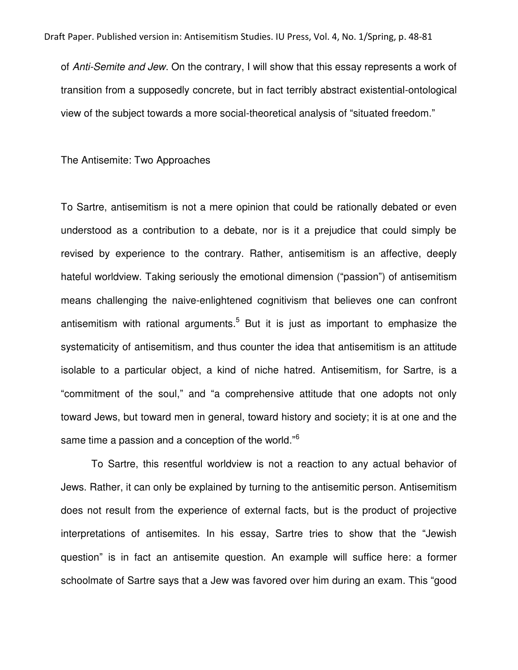of *Anti-Semite and Jew*. On the contrary, I will show that this essay represents a work of transition from a supposedly concrete, but in fact terribly abstract existential-ontological view of the subject towards a more social-theoretical analysis of "situated freedom."

The Antisemite: Two Approaches

To Sartre, antisemitism is not a mere opinion that could be rationally debated or even understood as a contribution to a debate, nor is it a prejudice that could simply be revised by experience to the contrary. Rather, antisemitism is an affective, deeply hateful worldview. Taking seriously the emotional dimension ("passion") of antisemitism means challenging the naive-enlightened cognitivism that believes one can confront antisemitism with rational arguments.<sup>5</sup> But it is just as important to emphasize the systematicity of antisemitism, and thus counter the idea that antisemitism is an attitude isolable to a particular object, a kind of niche hatred. Antisemitism, for Sartre, is a "commitment of the soul," and "a comprehensive attitude that one adopts not only toward Jews, but toward men in general, toward history and society; it is at one and the same time a passion and a conception of the world."<sup>6</sup>

To Sartre, this resentful worldview is not a reaction to any actual behavior of Jews. Rather, it can only be explained by turning to the antisemitic person. Antisemitism does not result from the experience of external facts, but is the product of projective interpretations of antisemites. In his essay, Sartre tries to show that the "Jewish question" is in fact an antisemite question. An example will suffice here: a former schoolmate of Sartre says that a Jew was favored over him during an exam. This "good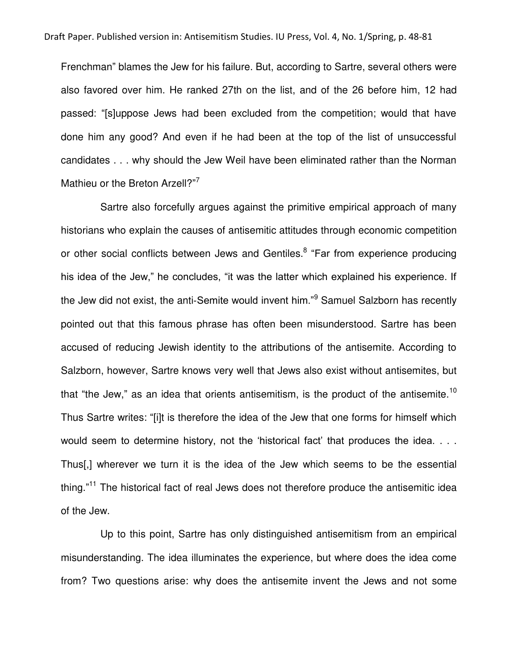Frenchman" blames the Jew for his failure. But, according to Sartre, several others were also favored over him. He ranked 27th on the list, and of the 26 before him, 12 had passed: "[s]uppose Jews had been excluded from the competition; would that have done him any good? And even if he had been at the top of the list of unsuccessful candidates . . . why should the Jew Weil have been eliminated rather than the Norman Mathieu or the Breton Arzell?"7

 Sartre also forcefully argues against the primitive empirical approach of many historians who explain the causes of antisemitic attitudes through economic competition or other social conflicts between Jews and Gentiles.<sup>8</sup> "Far from experience producing his idea of the Jew," he concludes, "it was the latter which explained his experience. If the Jew did not exist, the anti-Semite would invent him."<sup>9</sup> Samuel Salzborn has recently pointed out that this famous phrase has often been misunderstood. Sartre has been accused of reducing Jewish identity to the attributions of the antisemite. According to Salzborn, however, Sartre knows very well that Jews also exist without antisemites, but that "the Jew," as an idea that orients antisemitism, is the product of the antisemite.<sup>10</sup> Thus Sartre writes: "[i]t is therefore the idea of the Jew that one forms for himself which would seem to determine history, not the 'historical fact' that produces the idea. . . . Thus[,] wherever we turn it is the idea of the Jew which seems to be the essential thing."<sup>11</sup> The historical fact of real Jews does not therefore produce the antisemitic idea of the Jew.

 Up to this point, Sartre has only distinguished antisemitism from an empirical misunderstanding. The idea illuminates the experience, but where does the idea come from? Two questions arise: why does the antisemite invent the Jews and not some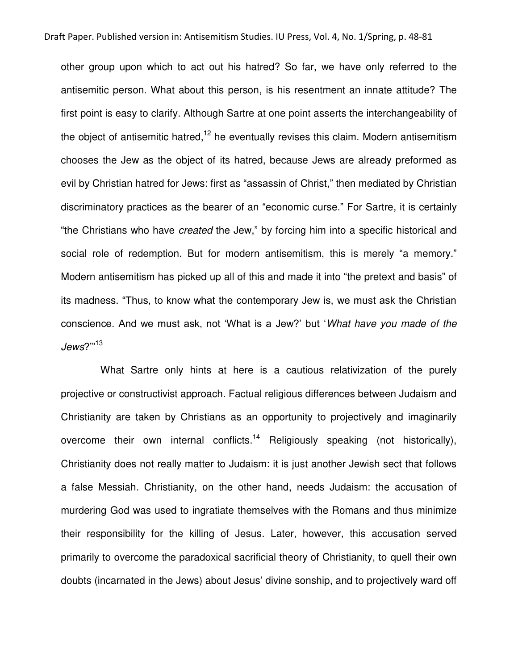other group upon which to act out his hatred? So far, we have only referred to the antisemitic person. What about this person, is his resentment an innate attitude? The first point is easy to clarify. Although Sartre at one point asserts the interchangeability of the object of antisemitic hatred,<sup>12</sup> he eventually revises this claim. Modern antisemitism chooses the Jew as the object of its hatred, because Jews are already preformed as evil by Christian hatred for Jews: first as "assassin of Christ," then mediated by Christian discriminatory practices as the bearer of an "economic curse." For Sartre, it is certainly "the Christians who have *created* the Jew," by forcing him into a specific historical and social role of redemption. But for modern antisemitism, this is merely "a memory." Modern antisemitism has picked up all of this and made it into "the pretext and basis" of its madness. "Thus, to know what the contemporary Jew is, we must ask the Christian conscience. And we must ask, not 'What is a Jew?' but '*What have you made of the Jews*?'"<sup>13</sup>

 What Sartre only hints at here is a cautious relativization of the purely projective or constructivist approach. Factual religious differences between Judaism and Christianity are taken by Christians as an opportunity to projectively and imaginarily overcome their own internal conflicts.<sup>14</sup> Religiously speaking (not historically), Christianity does not really matter to Judaism: it is just another Jewish sect that follows a false Messiah. Christianity, on the other hand, needs Judaism: the accusation of murdering God was used to ingratiate themselves with the Romans and thus minimize their responsibility for the killing of Jesus. Later, however, this accusation served primarily to overcome the paradoxical sacrificial theory of Christianity, to quell their own doubts (incarnated in the Jews) about Jesus' divine sonship, and to projectively ward off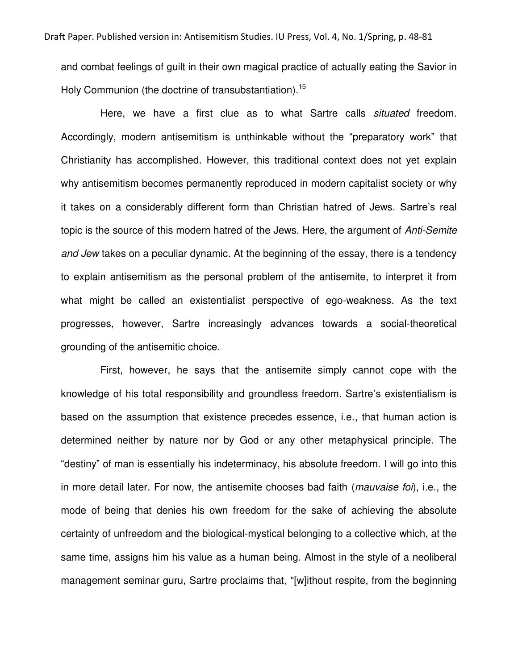and combat feelings of guilt in their own magical practice of actually eating the Savior in Holy Communion (the doctrine of transubstantiation).<sup>15</sup>

 Here, we have a first clue as to what Sartre calls *situated* freedom. Accordingly, modern antisemitism is unthinkable without the "preparatory work" that Christianity has accomplished. However, this traditional context does not yet explain why antisemitism becomes permanently reproduced in modern capitalist society or why it takes on a considerably different form than Christian hatred of Jews. Sartre's real topic is the source of this modern hatred of the Jews. Here, the argument of *Anti-Semite and Jew* takes on a peculiar dynamic. At the beginning of the essay, there is a tendency to explain antisemitism as the personal problem of the antisemite, to interpret it from what might be called an existentialist perspective of ego-weakness. As the text progresses, however, Sartre increasingly advances towards a social-theoretical grounding of the antisemitic choice.

 First, however, he says that the antisemite simply cannot cope with the knowledge of his total responsibility and groundless freedom. Sartre's existentialism is based on the assumption that existence precedes essence, i.e., that human action is determined neither by nature nor by God or any other metaphysical principle. The "destiny" of man is essentially his indeterminacy, his absolute freedom. I will go into this in more detail later. For now, the antisemite chooses bad faith (*mauvaise foi*), i.e., the mode of being that denies his own freedom for the sake of achieving the absolute certainty of unfreedom and the biological-mystical belonging to a collective which, at the same time, assigns him his value as a human being. Almost in the style of a neoliberal management seminar guru, Sartre proclaims that, "[w]ithout respite, from the beginning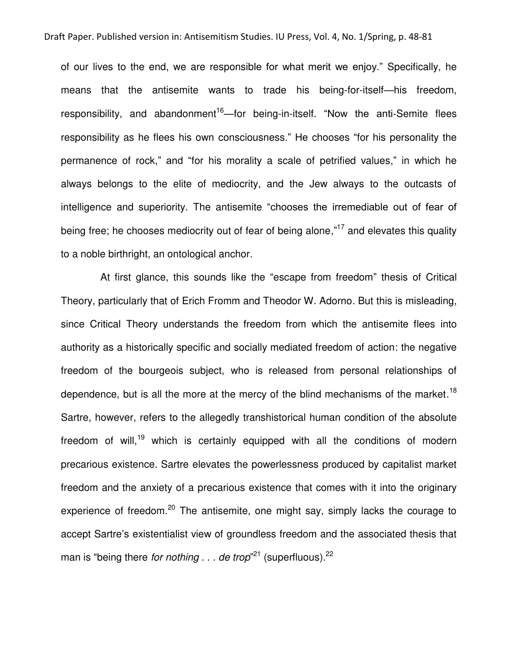of our lives to the end, we are responsible for what merit we enjoy." Specifically, he means that the antisemite wants to trade his being-for-itself—his freedom, responsibility, and abandonment<sup>16</sup>—for being-in-itself. "Now the anti-Semite flees responsibility as he flees his own consciousness." He chooses "for his personality the permanence of rock," and "for his morality a scale of petrified values," in which he always belongs to the elite of mediocrity, and the Jew always to the outcasts of intelligence and superiority. The antisemite "chooses the irremediable out of fear of being free; he chooses mediocrity out of fear of being alone,"<sup>17</sup> and elevates this quality to a noble birthright, an ontological anchor.

 At first glance, this sounds like the "escape from freedom" thesis of Critical Theory, particularly that of Erich Fromm and Theodor W. Adorno. But this is misleading, since Critical Theory understands the freedom from which the antisemite flees into authority as a historically specific and socially mediated freedom of action: the negative freedom of the bourgeois subject, who is released from personal relationships of dependence, but is all the more at the mercy of the blind mechanisms of the market.<sup>18</sup> Sartre, however, refers to the allegedly transhistorical human condition of the absolute freedom of will,<sup>19</sup> which is certainly equipped with all the conditions of modern precarious existence. Sartre elevates the powerlessness produced by capitalist market freedom and the anxiety of a precarious existence that comes with it into the originary experience of freedom.<sup>20</sup> The antisemite, one might say, simply lacks the courage to accept Sartre's existentialist view of groundless freedom and the associated thesis that man is "being there *for nothing . . . de trop*"<sup>21</sup> (superfluous).<sup>22</sup>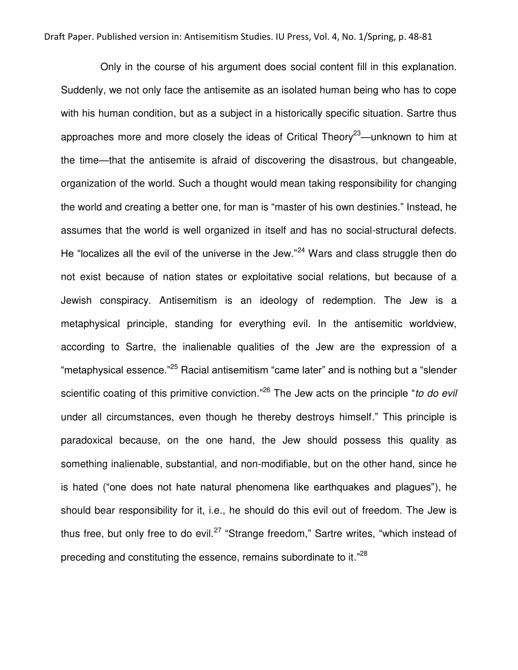Only in the course of his argument does social content fill in this explanation. Suddenly, we not only face the antisemite as an isolated human being who has to cope with his human condition, but as a subject in a historically specific situation. Sartre thus approaches more and more closely the ideas of Critical Theory<sup>23</sup>—unknown to him at the time—that the antisemite is afraid of discovering the disastrous, but changeable, organization of the world. Such a thought would mean taking responsibility for changing the world and creating a better one, for man is "master of his own destinies." Instead, he assumes that the world is well organized in itself and has no social-structural defects. He "localizes all the evil of the universe in the Jew."<sup>24</sup> Wars and class struggle then do not exist because of nation states or exploitative social relations, but because of a Jewish conspiracy. Antisemitism is an ideology of redemption. The Jew is a metaphysical principle, standing for everything evil. In the antisemitic worldview, according to Sartre, the inalienable qualities of the Jew are the expression of a "metaphysical essence."<sup>25</sup> Racial antisemitism "came later" and is nothing but a "slender scientific coating of this primitive conviction." <sup>26</sup> The Jew acts on the principle "*to do evil* under all circumstances, even though he thereby destroys himself." This principle is paradoxical because, on the one hand, the Jew should possess this quality as something inalienable, substantial, and non-modifiable, but on the other hand, since he is hated ("one does not hate natural phenomena like earthquakes and plagues"), he should bear responsibility for it, i.e., he should do this evil out of freedom. The Jew is thus free, but only free to do evil.<sup>27</sup> "Strange freedom," Sartre writes, "which instead of preceding and constituting the essence, remains subordinate to it."<sup>28</sup>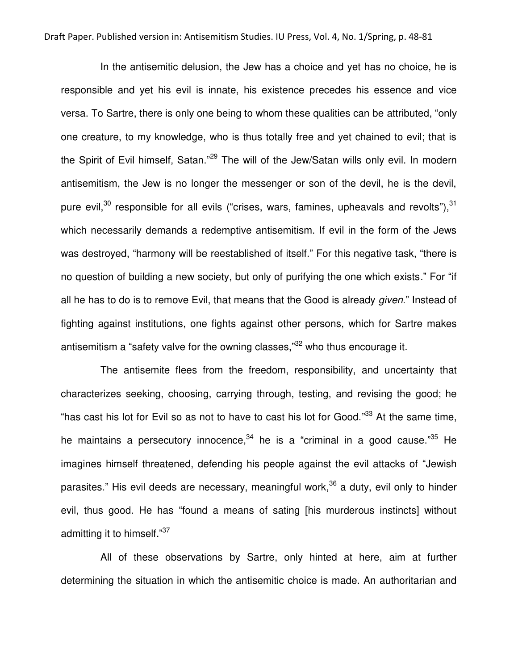In the antisemitic delusion, the Jew has a choice and yet has no choice, he is responsible and yet his evil is innate, his existence precedes his essence and vice versa. To Sartre, there is only one being to whom these qualities can be attributed, "only one creature, to my knowledge, who is thus totally free and yet chained to evil; that is the Spirit of Evil himself, Satan."<sup>29</sup> The will of the Jew/Satan wills only evil. In modern antisemitism, the Jew is no longer the messenger or son of the devil, he is the devil, pure evil, $30$  responsible for all evils ("crises, wars, famines, upheavals and revolts"),  $31$ which necessarily demands a redemptive antisemitism. If evil in the form of the Jews was destroyed, "harmony will be reestablished of itself." For this negative task, "there is no question of building a new society, but only of purifying the one which exists." For "if all he has to do is to remove Evil, that means that the Good is already *given*." Instead of fighting against institutions, one fights against other persons, which for Sartre makes antisemitism a "safety valve for the owning classes,"<sup>32</sup> who thus encourage it.

 The antisemite flees from the freedom, responsibility, and uncertainty that characterizes seeking, choosing, carrying through, testing, and revising the good; he "has cast his lot for Evil so as not to have to cast his lot for Good."<sup>33</sup> At the same time, he maintains a persecutory innocence,<sup>34</sup> he is a "criminal in a good cause."<sup>35</sup> He imagines himself threatened, defending his people against the evil attacks of "Jewish parasites." His evil deeds are necessary, meaningful work,  $36$  a duty, evil only to hinder evil, thus good. He has "found a means of sating [his murderous instincts] without admitting it to himself."<sup>37</sup>

 All of these observations by Sartre, only hinted at here, aim at further determining the situation in which the antisemitic choice is made. An authoritarian and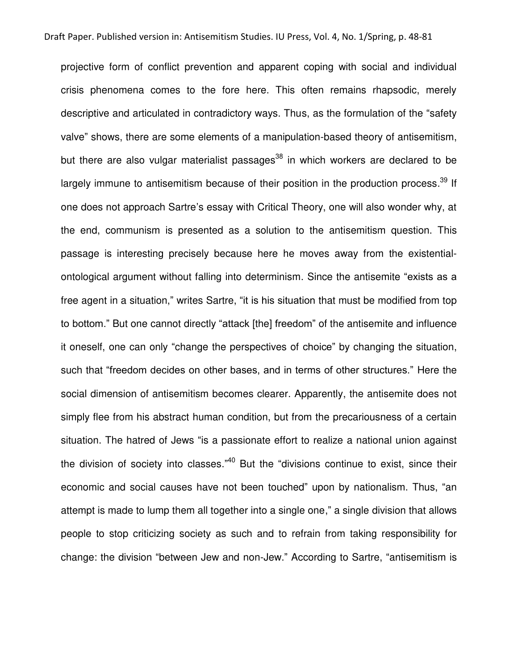projective form of conflict prevention and apparent coping with social and individual crisis phenomena comes to the fore here. This often remains rhapsodic, merely descriptive and articulated in contradictory ways. Thus, as the formulation of the "safety valve" shows, there are some elements of a manipulation-based theory of antisemitism, but there are also vulgar materialist passages<sup>38</sup> in which workers are declared to be largely immune to antisemitism because of their position in the production process.<sup>39</sup> If one does not approach Sartre's essay with Critical Theory, one will also wonder why, at the end, communism is presented as a solution to the antisemitism question. This passage is interesting precisely because here he moves away from the existentialontological argument without falling into determinism. Since the antisemite "exists as a free agent in a situation," writes Sartre, "it is his situation that must be modified from top to bottom." But one cannot directly "attack [the] freedom" of the antisemite and influence it oneself, one can only "change the perspectives of choice" by changing the situation, such that "freedom decides on other bases, and in terms of other structures." Here the social dimension of antisemitism becomes clearer. Apparently, the antisemite does not simply flee from his abstract human condition, but from the precariousness of a certain situation. The hatred of Jews "is a passionate effort to realize a national union against the division of society into classes."<sup>40</sup> But the "divisions continue to exist, since their economic and social causes have not been touched" upon by nationalism. Thus, "an attempt is made to lump them all together into a single one," a single division that allows people to stop criticizing society as such and to refrain from taking responsibility for change: the division "between Jew and non-Jew." According to Sartre, "antisemitism is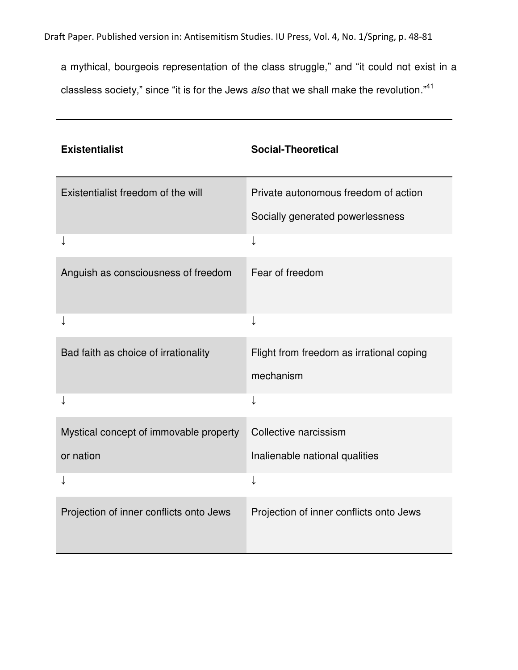Draft Paper. Published version in: Antisemitism Studies. IU Press, Vol. 4, No. 1/Spring, p. 48-81

a mythical, bourgeois representation of the class struggle," and "it could not exist in a classless society," since "it is for the Jews *also* that we shall make the revolution." 41

| <b>Existentialist</b>                   | <b>Social-Theoretical</b>                |
|-----------------------------------------|------------------------------------------|
| Existentialist freedom of the will      | Private autonomous freedom of action     |
|                                         | Socially generated powerlessness         |
|                                         |                                          |
| Anguish as consciousness of freedom     | Fear of freedom                          |
|                                         | ↓                                        |
| Bad faith as choice of irrationality    | Flight from freedom as irrational coping |
|                                         | mechanism                                |
|                                         |                                          |
| Mystical concept of immovable property  | Collective narcissism                    |
| or nation                               | Inalienable national qualities           |
|                                         | ↓                                        |
| Projection of inner conflicts onto Jews | Projection of inner conflicts onto Jews  |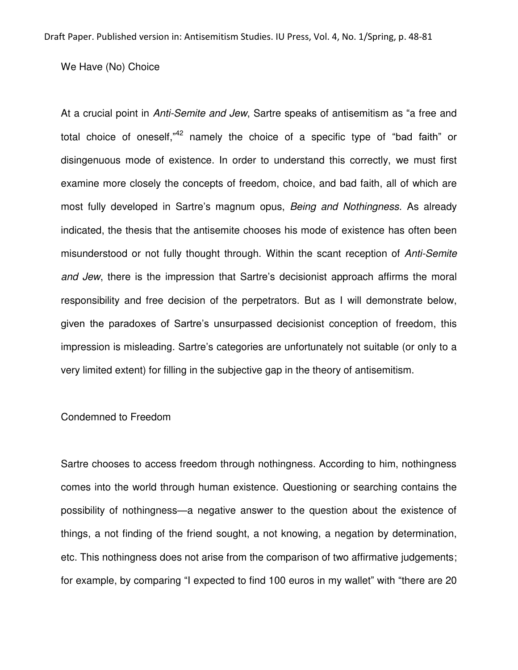We Have (No) Choice

At a crucial point in *Anti-Semite and Jew*, Sartre speaks of antisemitism as "a free and total choice of oneself,"<sup>42</sup> namely the choice of a specific type of "bad faith" or disingenuous mode of existence. In order to understand this correctly, we must first examine more closely the concepts of freedom, choice, and bad faith, all of which are most fully developed in Sartre's magnum opus, *Being and Nothingness*. As already indicated, the thesis that the antisemite chooses his mode of existence has often been misunderstood or not fully thought through. Within the scant reception of *Anti-Semite and Jew*, there is the impression that Sartre's decisionist approach affirms the moral responsibility and free decision of the perpetrators. But as I will demonstrate below, given the paradoxes of Sartre's unsurpassed decisionist conception of freedom, this impression is misleading. Sartre's categories are unfortunately not suitable (or only to a very limited extent) for filling in the subjective gap in the theory of antisemitism.

## Condemned to Freedom

Sartre chooses to access freedom through nothingness. According to him, nothingness comes into the world through human existence. Questioning or searching contains the possibility of nothingness—a negative answer to the question about the existence of things, a not finding of the friend sought, a not knowing, a negation by determination, etc. This nothingness does not arise from the comparison of two affirmative judgements; for example, by comparing "I expected to find 100 euros in my wallet" with "there are 20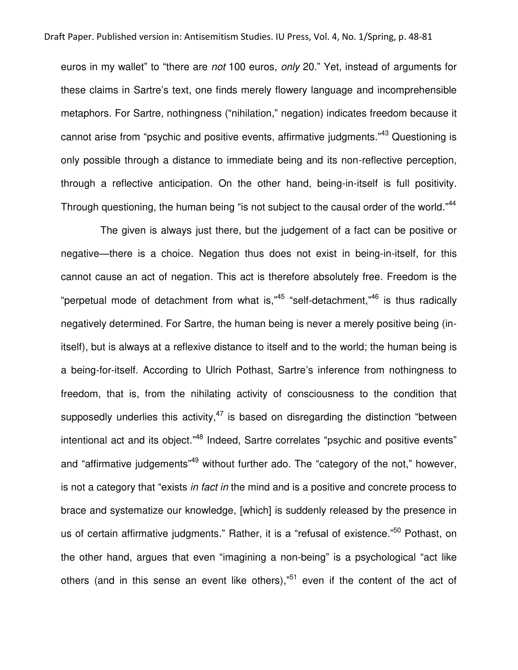euros in my wallet" to "there are *not* 100 euros, *only* 20." Yet, instead of arguments for these claims in Sartre's text, one finds merely flowery language and incomprehensible metaphors. For Sartre, nothingness ("nihilation," negation) indicates freedom because it cannot arise from "psychic and positive events, affirmative judgments."<sup>43</sup> Questioning is only possible through a distance to immediate being and its non-reflective perception, through a reflective anticipation. On the other hand, being-in-itself is full positivity. Through questioning, the human being "is not subject to the causal order of the world."<sup>44</sup>

 The given is always just there, but the judgement of a fact can be positive or negative—there is a choice. Negation thus does not exist in being-in-itself, for this cannot cause an act of negation. This act is therefore absolutely free. Freedom is the "perpetual mode of detachment from what is,"<sup>45</sup> "self-detachment,"<sup>46</sup> is thus radically negatively determined. For Sartre, the human being is never a merely positive being (initself), but is always at a reflexive distance to itself and to the world; the human being is a being-for-itself. According to Ulrich Pothast, Sartre's inference from nothingness to freedom, that is, from the nihilating activity of consciousness to the condition that supposedly underlies this activity,  $47$  is based on disregarding the distinction "between intentional act and its object."<sup>48</sup> Indeed, Sartre correlates "psychic and positive events" and "affirmative judgements"<sup>49</sup> without further ado. The "category of the not," however, is not a category that "exists *in fact in* the mind and is a positive and concrete process to brace and systematize our knowledge, [which] is suddenly released by the presence in us of certain affirmative judgments." Rather, it is a "refusal of existence."<sup>50</sup> Pothast, on the other hand, argues that even "imagining a non-being" is a psychological "act like others (and in this sense an event like others),"<sup>51</sup> even if the content of the act of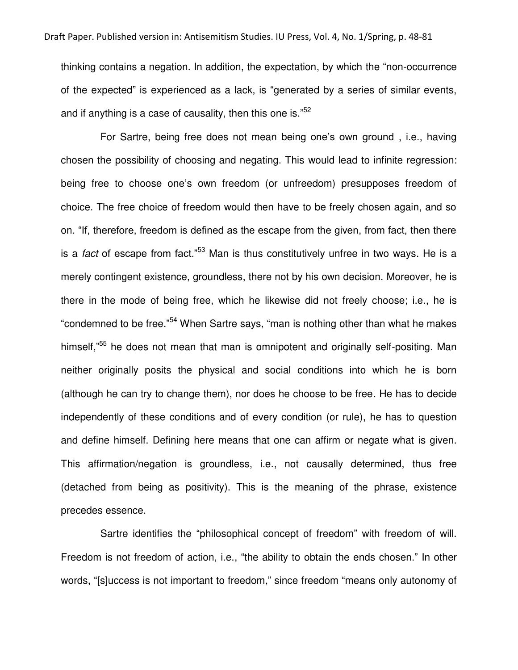thinking contains a negation. In addition, the expectation, by which the "non-occurrence of the expected" is experienced as a lack, is "generated by a series of similar events, and if anything is a case of causality, then this one is."<sup>52</sup>

 For Sartre, being free does not mean being one's own ground , i.e., having chosen the possibility of choosing and negating. This would lead to infinite regression: being free to choose one's own freedom (or unfreedom) presupposes freedom of choice. The free choice of freedom would then have to be freely chosen again, and so on. "If, therefore, freedom is defined as the escape from the given, from fact, then there is a *fact* of escape from fact."<sup>53</sup> Man is thus constitutively unfree in two ways. He is a merely contingent existence, groundless, there not by his own decision. Moreover, he is there in the mode of being free, which he likewise did not freely choose; i.e., he is "condemned to be free."<sup>54</sup> When Sartre says, "man is nothing other than what he makes himself,"<sup>55</sup> he does not mean that man is omnipotent and originally self-positing. Man neither originally posits the physical and social conditions into which he is born (although he can try to change them), nor does he choose to be free. He has to decide independently of these conditions and of every condition (or rule), he has to question and define himself. Defining here means that one can affirm or negate what is given. This affirmation/negation is groundless, i.e., not causally determined, thus free (detached from being as positivity). This is the meaning of the phrase, existence precedes essence.

 Sartre identifies the "philosophical concept of freedom" with freedom of will. Freedom is not freedom of action, i.e., "the ability to obtain the ends chosen." In other words, "[s]uccess is not important to freedom," since freedom "means only autonomy of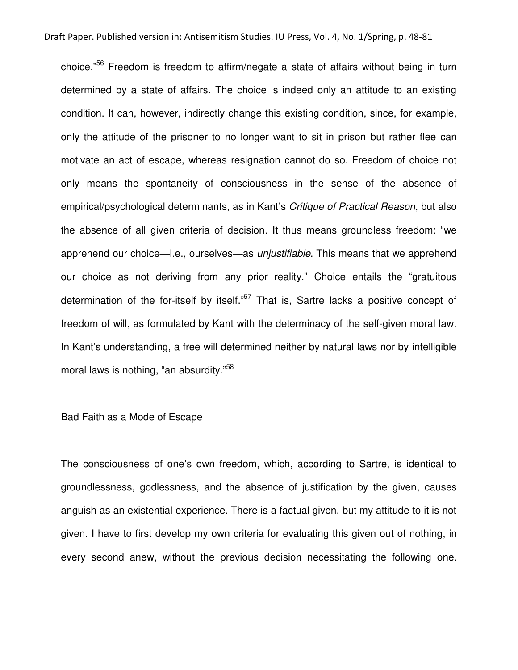choice." <sup>56</sup> Freedom is freedom to affirm/negate a state of affairs without being in turn determined by a state of affairs. The choice is indeed only an attitude to an existing condition. It can, however, indirectly change this existing condition, since, for example, only the attitude of the prisoner to no longer want to sit in prison but rather flee can motivate an act of escape, whereas resignation cannot do so. Freedom of choice not only means the spontaneity of consciousness in the sense of the absence of empirical/psychological determinants, as in Kant's *Critique of Practical Reason*, but also the absence of all given criteria of decision. It thus means groundless freedom: "we apprehend our choice—i.e., ourselves—as *unjustifiable*. This means that we apprehend our choice as not deriving from any prior reality." Choice entails the "gratuitous determination of the for-itself by itself."<sup>57</sup> That is, Sartre lacks a positive concept of freedom of will, as formulated by Kant with the determinacy of the self-given moral law. In Kant's understanding, a free will determined neither by natural laws nor by intelligible moral laws is nothing, "an absurdity." 58

Bad Faith as a Mode of Escape

The consciousness of one's own freedom, which, according to Sartre, is identical to groundlessness, godlessness, and the absence of justification by the given, causes anguish as an existential experience. There is a factual given, but my attitude to it is not given. I have to first develop my own criteria for evaluating this given out of nothing, in every second anew, without the previous decision necessitating the following one.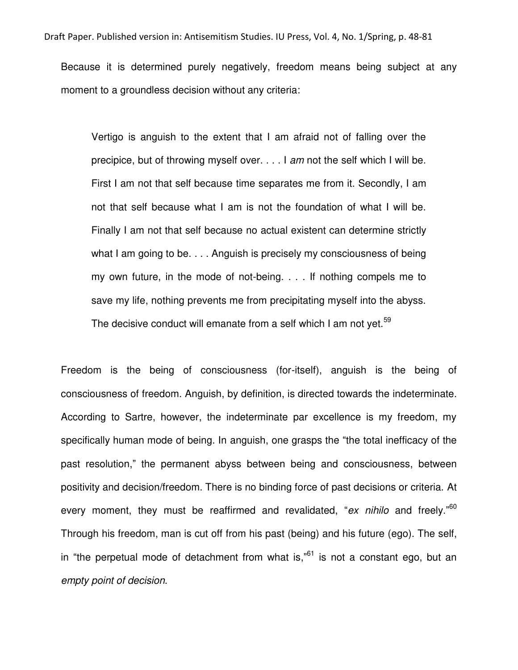Because it is determined purely negatively, freedom means being subject at any moment to a groundless decision without any criteria:

Vertigo is anguish to the extent that I am afraid not of falling over the precipice, but of throwing myself over. . . . I *am* not the self which I will be. First I am not that self because time separates me from it. Secondly, I am not that self because what I am is not the foundation of what I will be. Finally I am not that self because no actual existent can determine strictly what I am going to be. . . . Anguish is precisely my consciousness of being my own future, in the mode of not-being. . . . If nothing compels me to save my life, nothing prevents me from precipitating myself into the abyss. The decisive conduct will emanate from a self which I am not yet.<sup>59</sup>

Freedom is the being of consciousness (for-itself), anguish is the being of consciousness of freedom. Anguish, by definition, is directed towards the indeterminate. According to Sartre, however, the indeterminate par excellence is my freedom, my specifically human mode of being. In anguish, one grasps the "the total inefficacy of the past resolution," the permanent abyss between being and consciousness, between positivity and decision/freedom. There is no binding force of past decisions or criteria. At every moment, they must be reaffirmed and revalidated, "*ex nihilo* and freely."<sup>60</sup> Through his freedom, man is cut off from his past (being) and his future (ego). The self, in "the perpetual mode of detachment from what is,"<sup>61</sup> is not a constant ego, but an *empty point of decision*.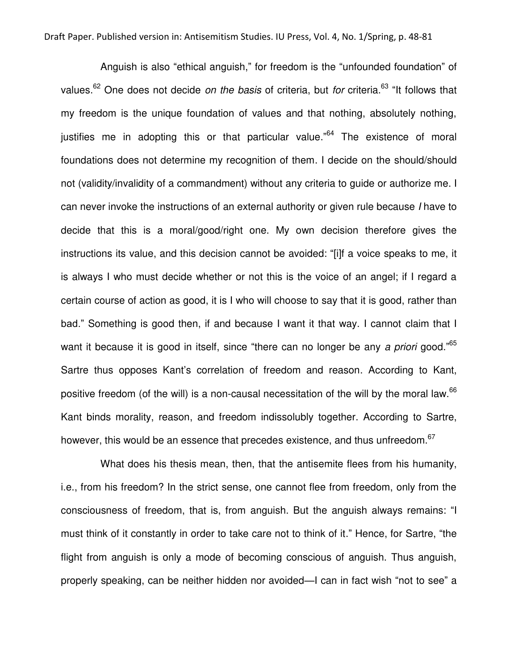Anguish is also "ethical anguish," for freedom is the "unfounded foundation" of values.<sup>62</sup> One does not decide *on the basis* of criteria, but *for* criteria.<sup>63</sup> "It follows that my freedom is the unique foundation of values and that nothing, absolutely nothing, justifies me in adopting this or that particular value."<sup>64</sup> The existence of moral foundations does not determine my recognition of them. I decide on the should/should not (validity/invalidity of a commandment) without any criteria to guide or authorize me. I can never invoke the instructions of an external authority or given rule because *I* have to decide that this is a moral/good/right one. My own decision therefore gives the instructions its value, and this decision cannot be avoided: "[i]f a voice speaks to me, it is always I who must decide whether or not this is the voice of an angel; if I regard a certain course of action as good, it is I who will choose to say that it is good, rather than bad." Something is good then, if and because I want it that way. I cannot claim that I want it because it is good in itself, since "there can no longer be any *a priori* good." 65 Sartre thus opposes Kant's correlation of freedom and reason. According to Kant, positive freedom (of the will) is a non-causal necessitation of the will by the moral law.<sup>66</sup> Kant binds morality, reason, and freedom indissolubly together. According to Sartre, however, this would be an essence that precedes existence, and thus unfreedom. $^{67}$ 

 What does his thesis mean, then, that the antisemite flees from his humanity, i.e., from his freedom? In the strict sense, one cannot flee from freedom, only from the consciousness of freedom, that is, from anguish. But the anguish always remains: "I must think of it constantly in order to take care not to think of it." Hence, for Sartre, "the flight from anguish is only a mode of becoming conscious of anguish. Thus anguish, properly speaking, can be neither hidden nor avoided—I can in fact wish "not to see" a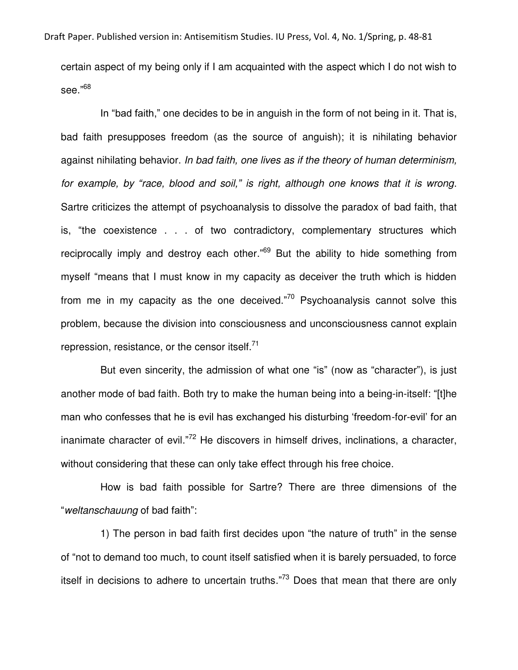certain aspect of my being only if I am acquainted with the aspect which I do not wish to see."<sup>68</sup>

In "bad faith," one decides to be in anguish in the form of not being in it. That is, bad faith presupposes freedom (as the source of anguish); it is nihilating behavior against nihilating behavior. *In bad faith, one lives as if the theory of human determinism, for example, by "race, blood and soil," is right, although one knows that it is wrong*. Sartre criticizes the attempt of psychoanalysis to dissolve the paradox of bad faith, that is, "the coexistence . . . of two contradictory, complementary structures which reciprocally imply and destroy each other."<sup>69</sup> But the ability to hide something from myself "means that I must know in my capacity as deceiver the truth which is hidden from me in my capacity as the one deceived."<sup>70</sup> Psychoanalysis cannot solve this problem, because the division into consciousness and unconsciousness cannot explain repression, resistance, or the censor itself. $71$ 

 But even sincerity, the admission of what one "is" (now as "character"), is just another mode of bad faith. Both try to make the human being into a being-in-itself: "[t]he man who confesses that he is evil has exchanged his disturbing 'freedom-for-evil' for an inanimate character of evil."<sup>72</sup> He discovers in himself drives, inclinations, a character, without considering that these can only take effect through his free choice.

 How is bad faith possible for Sartre? There are three dimensions of the "*weltanschauung* of bad faith":

 1) The person in bad faith first decides upon "the nature of truth" in the sense of "not to demand too much, to count itself satisfied when it is barely persuaded, to force itself in decisions to adhere to uncertain truths."<sup>73</sup> Does that mean that there are only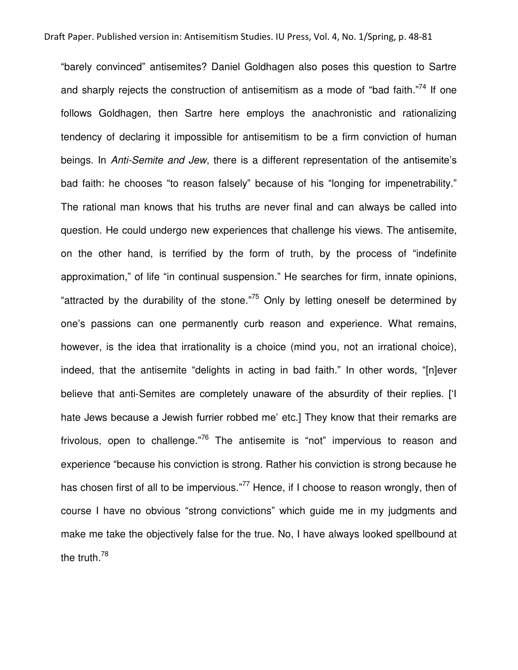"barely convinced" antisemites? Daniel Goldhagen also poses this question to Sartre and sharply rejects the construction of antisemitism as a mode of "bad faith."<sup>74</sup> If one follows Goldhagen, then Sartre here employs the anachronistic and rationalizing tendency of declaring it impossible for antisemitism to be a firm conviction of human beings. In *Anti-Semite and Jew*, there is a different representation of the antisemite's bad faith: he chooses "to reason falsely" because of his "longing for impenetrability." The rational man knows that his truths are never final and can always be called into question. He could undergo new experiences that challenge his views. The antisemite, on the other hand, is terrified by the form of truth, by the process of "indefinite approximation," of life "in continual suspension." He searches for firm, innate opinions, "attracted by the durability of the stone."<sup>75</sup> Only by letting oneself be determined by one's passions can one permanently curb reason and experience. What remains, however, is the idea that irrationality is a choice (mind you, not an irrational choice), indeed, that the antisemite "delights in acting in bad faith." In other words, "[n]ever believe that anti-Semites are completely unaware of the absurdity of their replies. ['I hate Jews because a Jewish furrier robbed me' etc.] They know that their remarks are frivolous, open to challenge."<sup>76</sup> The antisemite is "not" impervious to reason and experience "because his conviction is strong. Rather his conviction is strong because he has chosen first of all to be impervious."<sup>77</sup> Hence, if I choose to reason wrongly, then of course I have no obvious "strong convictions" which guide me in my judgments and make me take the objectively false for the true. No, I have always looked spellbound at the truth.<sup>78</sup>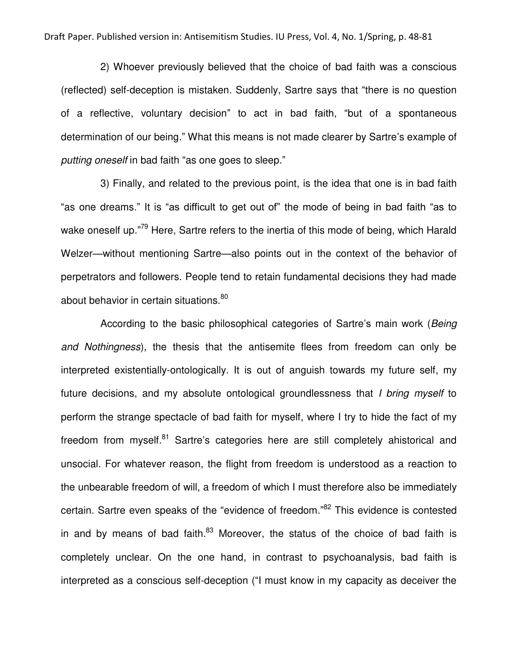2) Whoever previously believed that the choice of bad faith was a conscious (reflected) self-deception is mistaken. Suddenly, Sartre says that "there is no question of a reflective, voluntary decision" to act in bad faith, "but of a spontaneous determination of our being." What this means is not made clearer by Sartre's example of *putting oneself* in bad faith "as one goes to sleep."

 3) Finally, and related to the previous point, is the idea that one is in bad faith "as one dreams." It is "as difficult to get out of" the mode of being in bad faith "as to wake oneself up."<sup>79</sup> Here, Sartre refers to the inertia of this mode of being, which Harald Welzer—without mentioning Sartre—also points out in the context of the behavior of perpetrators and followers. People tend to retain fundamental decisions they had made about behavior in certain situations.<sup>80</sup>

 According to the basic philosophical categories of Sartre's main work (*Being and Nothingness*), the thesis that the antisemite flees from freedom can only be interpreted existentially-ontologically. It is out of anguish towards my future self, my future decisions, and my absolute ontological groundlessness that *I bring myself* to perform the strange spectacle of bad faith for myself, where I try to hide the fact of my freedom from myself.<sup>81</sup> Sartre's categories here are still completely ahistorical and unsocial. For whatever reason, the flight from freedom is understood as a reaction to the unbearable freedom of will, a freedom of which I must therefore also be immediately certain. Sartre even speaks of the "evidence of freedom."<sup>82</sup> This evidence is contested in and by means of bad faith. $83$  Moreover, the status of the choice of bad faith is completely unclear. On the one hand, in contrast to psychoanalysis, bad faith is interpreted as a conscious self-deception ("I must know in my capacity as deceiver the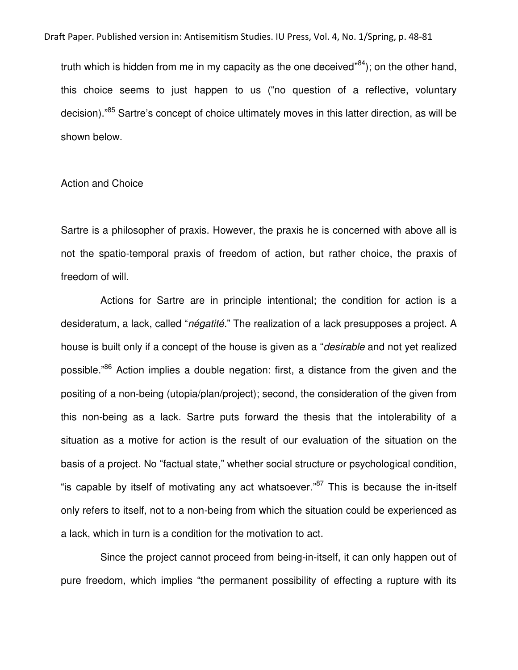truth which is hidden from me in my capacity as the one deceived"<sup>84</sup>); on the other hand, this choice seems to just happen to us ("no question of a reflective, voluntary decision)."<sup>85</sup> Sartre's concept of choice ultimately moves in this latter direction, as will be shown below.

## Action and Choice

Sartre is a philosopher of praxis. However, the praxis he is concerned with above all is not the spatio-temporal praxis of freedom of action, but rather choice, the praxis of freedom of will.

 Actions for Sartre are in principle intentional; the condition for action is a desideratum, a lack, called "*négatité.*" The realization of a lack presupposes a project. A house is built only if a concept of the house is given as a "*desirable* and not yet realized possible."<sup>86</sup> Action implies a double negation: first, a distance from the given and the positing of a non-being (utopia/plan/project); second, the consideration of the given from this non-being as a lack. Sartre puts forward the thesis that the intolerability of a situation as a motive for action is the result of our evaluation of the situation on the basis of a project. No "factual state," whether social structure or psychological condition, "is capable by itself of motivating any act whatsoever."<sup>87</sup> This is because the in-itself only refers to itself, not to a non-being from which the situation could be experienced as a lack, which in turn is a condition for the motivation to act.

 Since the project cannot proceed from being-in-itself, it can only happen out of pure freedom, which implies "the permanent possibility of effecting a rupture with its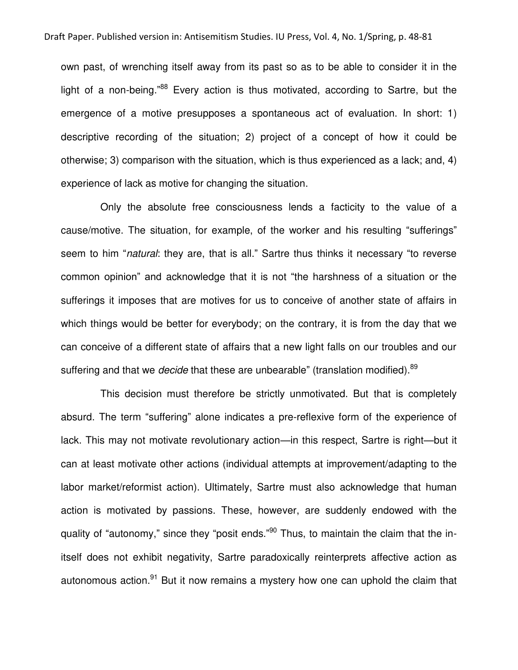own past, of wrenching itself away from its past so as to be able to consider it in the light of a non-being."<sup>88</sup> Every action is thus motivated, according to Sartre, but the emergence of a motive presupposes a spontaneous act of evaluation. In short: 1) descriptive recording of the situation; 2) project of a concept of how it could be otherwise; 3) comparison with the situation, which is thus experienced as a lack; and, 4) experience of lack as motive for changing the situation.

 Only the absolute free consciousness lends a facticity to the value of a cause/motive. The situation, for example, of the worker and his resulting "sufferings" seem to him "*natural*: they are, that is all." Sartre thus thinks it necessary "to reverse common opinion" and acknowledge that it is not "the harshness of a situation or the sufferings it imposes that are motives for us to conceive of another state of affairs in which things would be better for everybody; on the contrary, it is from the day that we can conceive of a different state of affairs that a new light falls on our troubles and our suffering and that we *decide* that these are unbearable" (translation modified).<sup>89</sup>

 This decision must therefore be strictly unmotivated. But that is completely absurd. The term "suffering" alone indicates a pre-reflexive form of the experience of lack. This may not motivate revolutionary action—in this respect, Sartre is right—but it can at least motivate other actions (individual attempts at improvement/adapting to the labor market/reformist action). Ultimately, Sartre must also acknowledge that human action is motivated by passions. These, however, are suddenly endowed with the quality of "autonomy," since they "posit ends."<sup>90</sup> Thus, to maintain the claim that the initself does not exhibit negativity, Sartre paradoxically reinterprets affective action as autonomous action. $91$  But it now remains a mystery how one can uphold the claim that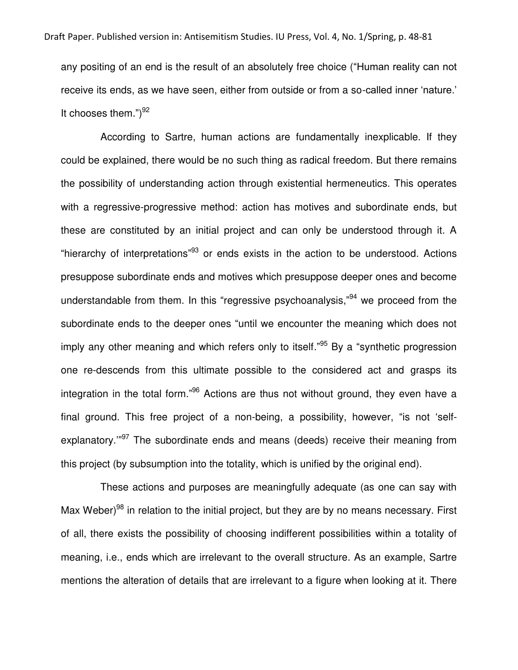any positing of an end is the result of an absolutely free choice ("Human reality can not receive its ends, as we have seen, either from outside or from a so-called inner 'nature.' It chooses them.")<sup>92</sup>

 According to Sartre, human actions are fundamentally inexplicable. If they could be explained, there would be no such thing as radical freedom. But there remains the possibility of understanding action through existential hermeneutics. This operates with a regressive-progressive method: action has motives and subordinate ends, but these are constituted by an initial project and can only be understood through it. A "hierarchy of interpretations"<sup>93</sup> or ends exists in the action to be understood. Actions presuppose subordinate ends and motives which presuppose deeper ones and become understandable from them. In this "regressive psychoanalysis,"<sup>94</sup> we proceed from the subordinate ends to the deeper ones "until we encounter the meaning which does not imply any other meaning and which refers only to itself."<sup>95</sup> By a "synthetic progression one re-descends from this ultimate possible to the considered act and grasps its integration in the total form."<sup>96</sup> Actions are thus not without ground, they even have a final ground. This free project of a non-being, a possibility, however, "is not 'selfexplanatory."<sup>97</sup> The subordinate ends and means (deeds) receive their meaning from this project (by subsumption into the totality, which is unified by the original end).

 These actions and purposes are meaningfully adequate (as one can say with Max Weber)<sup>98</sup> in relation to the initial project, but they are by no means necessary. First of all, there exists the possibility of choosing indifferent possibilities within a totality of meaning, i.e., ends which are irrelevant to the overall structure. As an example, Sartre mentions the alteration of details that are irrelevant to a figure when looking at it. There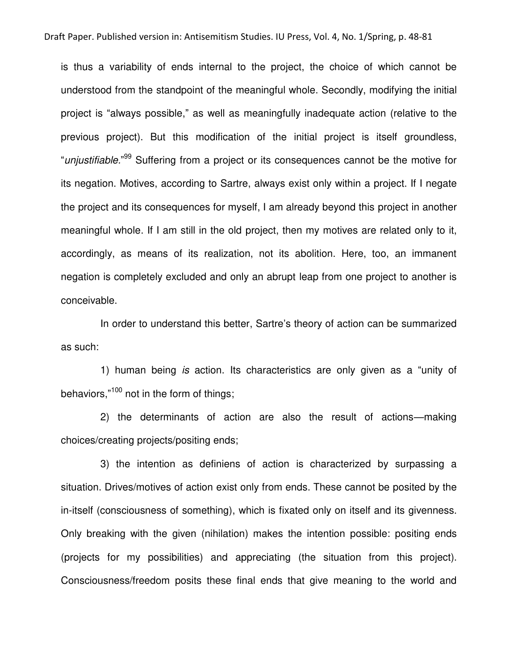is thus a variability of ends internal to the project, the choice of which cannot be understood from the standpoint of the meaningful whole. Secondly, modifying the initial project is "always possible," as well as meaningfully inadequate action (relative to the previous project). But this modification of the initial project is itself groundless, "*unjustifiable.*" <sup>99</sup> Suffering from a project or its consequences cannot be the motive for its negation. Motives, according to Sartre, always exist only within a project. If I negate the project and its consequences for myself, I am already beyond this project in another meaningful whole. If I am still in the old project, then my motives are related only to it, accordingly, as means of its realization, not its abolition. Here, too, an immanent negation is completely excluded and only an abrupt leap from one project to another is conceivable.

 In order to understand this better, Sartre's theory of action can be summarized as such:

 1) human being *is* action. Its characteristics are only given as a "unity of behaviors,"<sup>100</sup> not in the form of things;

 2) the determinants of action are also the result of actions—making choices/creating projects/positing ends;

 3) the intention as definiens of action is characterized by surpassing a situation. Drives/motives of action exist only from ends. These cannot be posited by the in-itself (consciousness of something), which is fixated only on itself and its givenness. Only breaking with the given (nihilation) makes the intention possible: positing ends (projects for my possibilities) and appreciating (the situation from this project). Consciousness/freedom posits these final ends that give meaning to the world and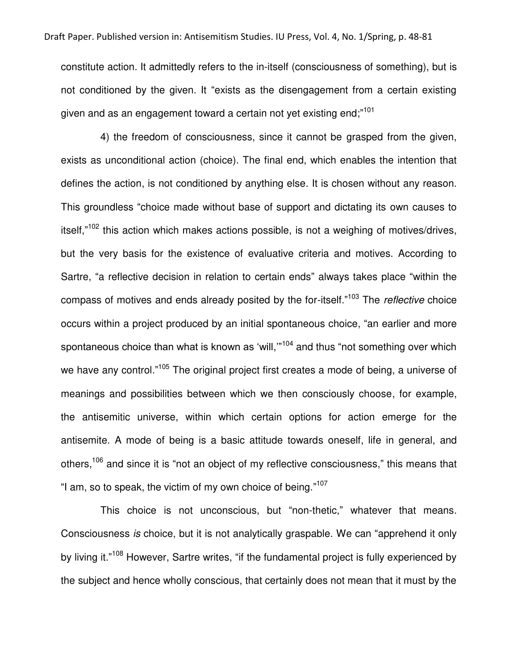constitute action. It admittedly refers to the in-itself (consciousness of something), but is not conditioned by the given. It "exists as the disengagement from a certain existing given and as an engagement toward a certain not yet existing end;" $^{101}$ 

 4) the freedom of consciousness, since it cannot be grasped from the given, exists as unconditional action (choice). The final end, which enables the intention that defines the action, is not conditioned by anything else. It is chosen without any reason. This groundless "choice made without base of support and dictating its own causes to itself,"<sup>102</sup> this action which makes actions possible, is not a weighing of motives/drives, but the very basis for the existence of evaluative criteria and motives. According to Sartre, "a reflective decision in relation to certain ends" always takes place "within the compass of motives and ends already posited by the for-itself."<sup>103</sup> The *reflective* choice occurs within a project produced by an initial spontaneous choice, "an earlier and more spontaneous choice than what is known as 'will,'"<sup>104</sup> and thus "not something over which we have any control."<sup>105</sup> The original project first creates a mode of being, a universe of meanings and possibilities between which we then consciously choose, for example, the antisemitic universe, within which certain options for action emerge for the antisemite. A mode of being is a basic attitude towards oneself, life in general, and others,<sup>106</sup> and since it is "not an object of my reflective consciousness," this means that "I am, so to speak, the victim of my own choice of being." $107$ 

 This choice is not unconscious, but "non-thetic," whatever that means. Consciousness *is* choice, but it is not analytically graspable. We can "apprehend it only by living it."<sup>108</sup> However, Sartre writes, "if the fundamental project is fully experienced by the subject and hence wholly conscious, that certainly does not mean that it must by the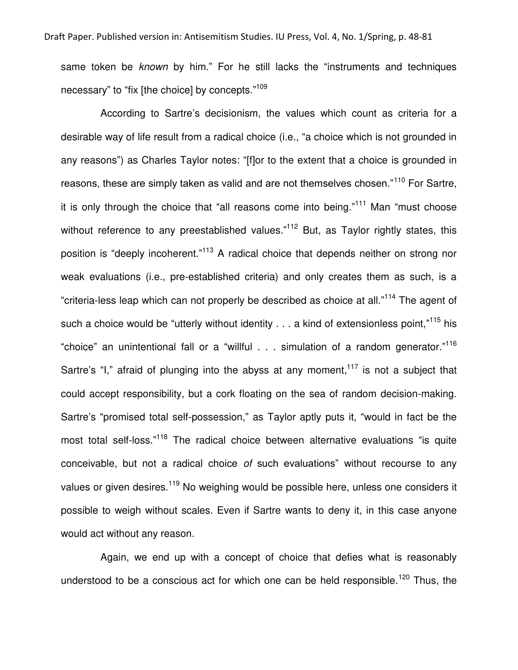same token be *known* by him." For he still lacks the "instruments and techniques necessary" to "fix [the choice] by concepts."<sup>109</sup>

 According to Sartre's decisionism, the values which count as criteria for a desirable way of life result from a radical choice (i.e., "a choice which is not grounded in any reasons") as Charles Taylor notes: "[f]or to the extent that a choice is grounded in reasons, these are simply taken as valid and are not themselves chosen."<sup>110</sup> For Sartre, it is only through the choice that "all reasons come into being."<sup>111</sup> Man "must choose without reference to any preestablished values."<sup>112</sup> But, as Taylor rightly states, this position is "deeply incoherent."<sup>113</sup> A radical choice that depends neither on strong nor weak evaluations (i.e., pre-established criteria) and only creates them as such, is a "criteria-less leap which can not properly be described as choice at all."<sup>114</sup> The agent of such a choice would be "utterly without identity  $\dots$  a kind of extensionless point," $^{115}$  his "choice" an unintentional fall or a "willful . . . simulation of a random generator."<sup>116</sup> Sartre's "I," afraid of plunging into the abyss at any moment,  $117$  is not a subject that could accept responsibility, but a cork floating on the sea of random decision-making. Sartre's "promised total self-possession," as Taylor aptly puts it, "would in fact be the most total self-loss."<sup>118</sup> The radical choice between alternative evaluations "is quite conceivable, but not a radical choice *of* such evaluations" without recourse to any values or given desires.<sup>119</sup> No weighing would be possible here, unless one considers it possible to weigh without scales. Even if Sartre wants to deny it, in this case anyone would act without any reason.

 Again, we end up with a concept of choice that defies what is reasonably understood to be a conscious act for which one can be held responsible.<sup>120</sup> Thus, the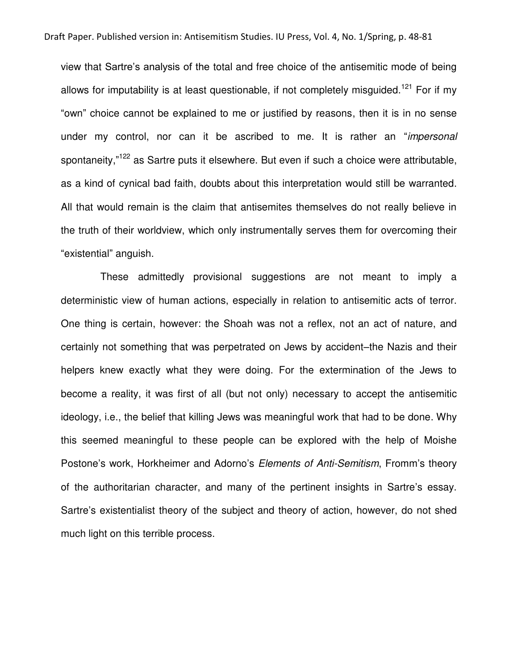view that Sartre's analysis of the total and free choice of the antisemitic mode of being allows for imputability is at least questionable, if not completely misquided.<sup>121</sup> For if my "own" choice cannot be explained to me or justified by reasons, then it is in no sense under my control, nor can it be ascribed to me. It is rather an "*impersonal* spontaneity,"<sup>122</sup> as Sartre puts it elsewhere. But even if such a choice were attributable, as a kind of cynical bad faith, doubts about this interpretation would still be warranted. All that would remain is the claim that antisemites themselves do not really believe in the truth of their worldview, which only instrumentally serves them for overcoming their "existential" anguish.

 These admittedly provisional suggestions are not meant to imply a deterministic view of human actions, especially in relation to antisemitic acts of terror. One thing is certain, however: the Shoah was not a reflex, not an act of nature, and certainly not something that was perpetrated on Jews by accident–the Nazis and their helpers knew exactly what they were doing. For the extermination of the Jews to become a reality, it was first of all (but not only) necessary to accept the antisemitic ideology, i.e., the belief that killing Jews was meaningful work that had to be done. Why this seemed meaningful to these people can be explored with the help of Moishe Postone's work, Horkheimer and Adorno's *Elements of Anti-Semitism*, Fromm's theory of the authoritarian character, and many of the pertinent insights in Sartre's essay. Sartre's existentialist theory of the subject and theory of action, however, do not shed much light on this terrible process.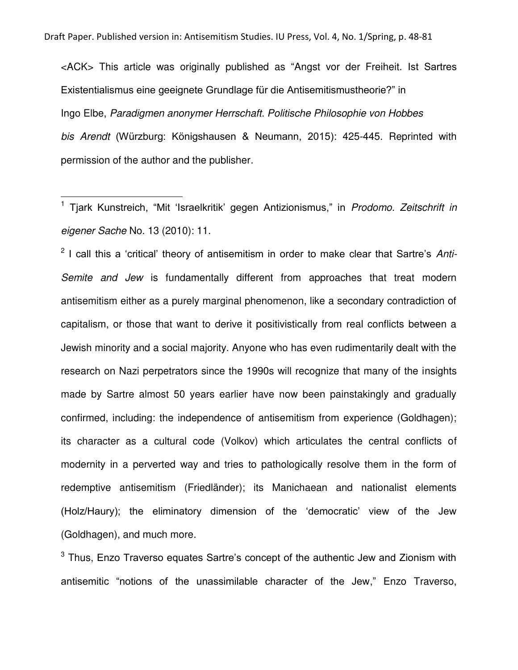<ACK> This article was originally published as "Angst vor der Freiheit. Ist Sartres Existentialismus eine geeignete Grundlage für die Antisemitismustheorie?" in Ingo Elbe, *Paradigmen anonymer Herrschaft. Politische Philosophie von Hobbes bis Arendt* (Würzburg: Königshausen & Neumann, 2015): 425-445. Reprinted with permission of the author and the publisher.

1 Tjark Kunstreich, "Mit 'Israelkritik' gegen Antizionismus," in *Prodomo. Zeitschrift in eigener Sache* No. 13 (2010): 11.

l

2 I call this a 'critical' theory of antisemitism in order to make clear that Sartre's *Anti-Semite and Jew* is fundamentally different from approaches that treat modern antisemitism either as a purely marginal phenomenon, like a secondary contradiction of capitalism, or those that want to derive it positivistically from real conflicts between a Jewish minority and a social majority. Anyone who has even rudimentarily dealt with the research on Nazi perpetrators since the 1990s will recognize that many of the insights made by Sartre almost 50 years earlier have now been painstakingly and gradually confirmed, including: the independence of antisemitism from experience (Goldhagen); its character as a cultural code (Volkov) which articulates the central conflicts of modernity in a perverted way and tries to pathologically resolve them in the form of redemptive antisemitism (Friedländer); its Manichaean and nationalist elements (Holz/Haury); the eliminatory dimension of the 'democratic' view of the Jew (Goldhagen), and much more.

 $^3$  Thus, Enzo Traverso equates Sartre's concept of the authentic Jew and Zionism with antisemitic "notions of the unassimilable character of the Jew," Enzo Traverso,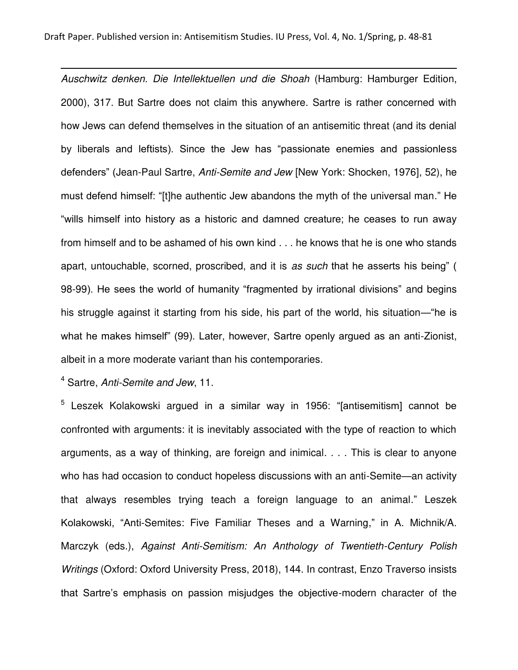l *Auschwitz denken. Die Intellektuellen und die Shoah* (Hamburg: Hamburger Edition, 2000), 317. But Sartre does not claim this anywhere. Sartre is rather concerned with how Jews can defend themselves in the situation of an antisemitic threat (and its denial by liberals and leftists). Since the Jew has "passionate enemies and passionless defenders" (Jean-Paul Sartre, *Anti-Semite and Jew* [New York: Shocken, 1976], 52), he must defend himself: "[t]he authentic Jew abandons the myth of the universal man." He "wills himself into history as a historic and damned creature; he ceases to run away from himself and to be ashamed of his own kind . . . he knows that he is one who stands apart, untouchable, scorned, proscribed, and it is *as such* that he asserts his being" ( 98-99). He sees the world of humanity "fragmented by irrational divisions" and begins his struggle against it starting from his side, his part of the world, his situation—"he is what he makes himself" (99). Later, however, Sartre openly argued as an anti-Zionist, albeit in a more moderate variant than his contemporaries.

4 Sartre, *Anti-Semite and Jew*, 11.

 $^5$  Leszek Kolakowski argued in a similar way in 1956: "[antisemitism] cannot be confronted with arguments: it is inevitably associated with the type of reaction to which arguments, as a way of thinking, are foreign and inimical. . . . This is clear to anyone who has had occasion to conduct hopeless discussions with an anti-Semite—an activity that always resembles trying teach a foreign language to an animal." Leszek Kolakowski, "Anti-Semites: Five Familiar Theses and a Warning," in A. Michnik/A. Marczyk (eds.), *Against Anti-Semitism: An Anthology of Twentieth-Century Polish Writings* (Oxford: Oxford University Press, 2018), 144. In contrast, Enzo Traverso insists that Sartre's emphasis on passion misjudges the objective-modern character of the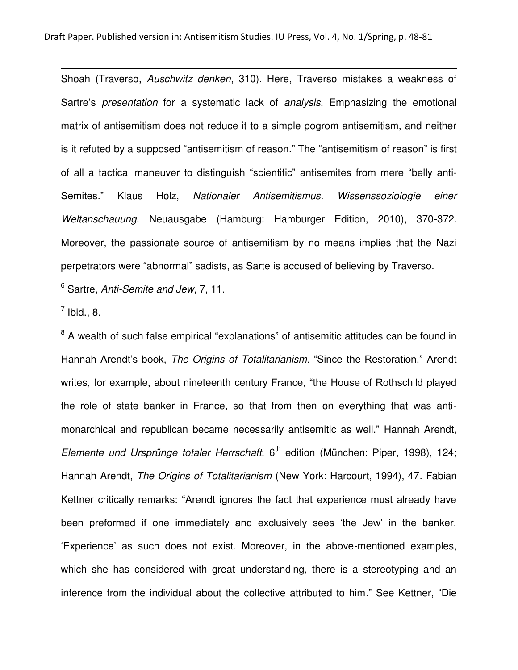Shoah (Traverso, *Auschwitz denken*, 310). Here, Traverso mistakes a weakness of Sartre's *presentation* for a systematic lack of *analysis*. Emphasizing the emotional matrix of antisemitism does not reduce it to a simple pogrom antisemitism, and neither is it refuted by a supposed "antisemitism of reason." The "antisemitism of reason" is first of all a tactical maneuver to distinguish "scientific" antisemites from mere "belly anti-Semites." Klaus Holz, *Nationaler Antisemitismus. Wissenssoziologie einer Weltanschauung*. Neuausgabe (Hamburg: Hamburger Edition, 2010), 370-372. Moreover, the passionate source of antisemitism by no means implies that the Nazi perpetrators were "abnormal" sadists, as Sarte is accused of believing by Traverso. 6 Sartre, *Anti-Semite and Jew*, 7, 11.

 $^7$  Ibid., 8.

l

<sup>8</sup> A wealth of such false empirical "explanations" of antisemitic attitudes can be found in Hannah Arendt's book, *The Origins of Totalitarianism*. "Since the Restoration," Arendt writes, for example, about nineteenth century France, "the House of Rothschild played the role of state banker in France, so that from then on everything that was antimonarchical and republican became necessarily antisemitic as well." Hannah Arendt, Elemente und Ursprünge totaler Herrschaft. 6<sup>th</sup> edition (München: Piper, 1998), 124; Hannah Arendt, *The Origins of Totalitarianism* (New York: Harcourt, 1994), 47. Fabian Kettner critically remarks: "Arendt ignores the fact that experience must already have been preformed if one immediately and exclusively sees 'the Jew' in the banker. 'Experience' as such does not exist. Moreover, in the above-mentioned examples, which she has considered with great understanding, there is a stereotyping and an inference from the individual about the collective attributed to him." See Kettner, "Die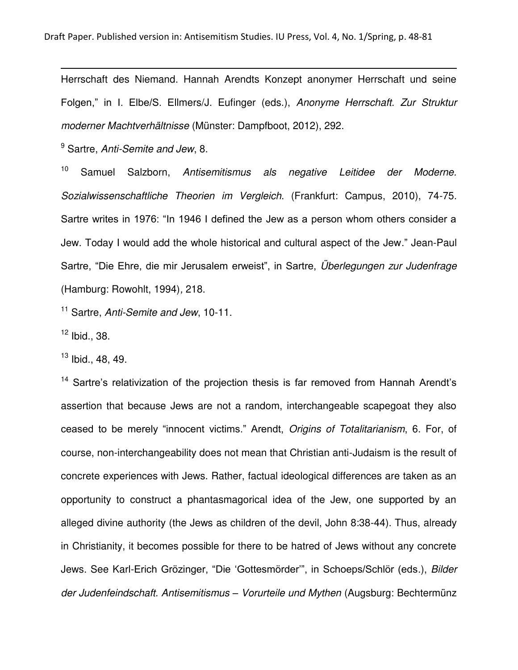Herrschaft des Niemand. Hannah Arendts Konzept anonymer Herrschaft und seine Folgen," in I. Elbe/S. Ellmers/J. Eufinger (eds.), *Anonyme Herrschaft. Zur Struktur moderner Machtverhältnisse* (Münster: Dampfboot, 2012), 292.

9 Sartre, *Anti-Semite and Jew*, 8.

<sup>10</sup> Samuel Salzborn, *Antisemitismus als negative Leitidee der Moderne. Sozialwissenschaftliche Theorien im Vergleich*. (Frankfurt: Campus, 2010), 74-75. Sartre writes in 1976: "In 1946 I defined the Jew as a person whom others consider a Jew. Today I would add the whole historical and cultural aspect of the Jew." Jean-Paul Sartre, "Die Ehre, die mir Jerusalem erweist", in Sartre, *Überlegungen zur Judenfrage* (Hamburg: Rowohlt, 1994)*,* 218.

<sup>11</sup> Sartre, *Anti-Semite and Jew*, 10-11.

 $12$  Ibid., 38.

l

 $13$  Ibid., 48, 49.

<sup>14</sup> Sartre's relativization of the projection thesis is far removed from Hannah Arendt's assertion that because Jews are not a random, interchangeable scapegoat they also ceased to be merely "innocent victims." Arendt, *Origins of Totalitarianism*, 6. For, of course, non-interchangeability does not mean that Christian anti-Judaism is the result of concrete experiences with Jews. Rather, factual ideological differences are taken as an opportunity to construct a phantasmagorical idea of the Jew, one supported by an alleged divine authority (the Jews as children of the devil, John 8:38-44). Thus, already in Christianity, it becomes possible for there to be hatred of Jews without any concrete Jews. See Karl-Erich Grözinger, "Die 'Gottesmörder'", in Schoeps/Schlör (eds.), *Bilder der Judenfeindschaft. Antisemitismus – Vorurteile und Mythen* (Augsburg: Bechtermünz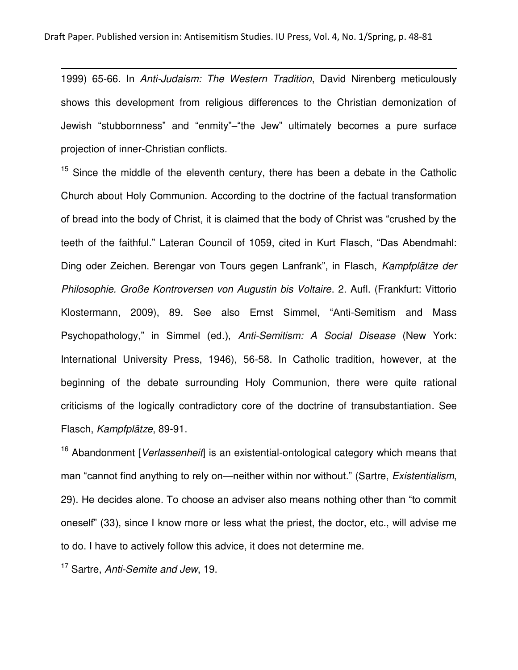1999) 65-66. In *Anti-Judaism: The Western Tradition*, David Nirenberg meticulously shows this development from religious differences to the Christian demonization of Jewish "stubbornness" and "enmity"–"the Jew" ultimately becomes a pure surface projection of inner-Christian conflicts.

 $15$  Since the middle of the eleventh century, there has been a debate in the Catholic Church about Holy Communion. According to the doctrine of the factual transformation of bread into the body of Christ, it is claimed that the body of Christ was "crushed by the teeth of the faithful." Lateran Council of 1059, cited in Kurt Flasch, "Das Abendmahl: Ding oder Zeichen. Berengar von Tours gegen Lanfrank", in Flasch, *Kampfplätze der Philosophie. Große Kontroversen von Augustin bis Voltaire*. 2. Aufl. (Frankfurt: Vittorio Klostermann, 2009), 89. See also Ernst Simmel, "Anti-Semitism and Mass Psychopathology," in Simmel (ed.), *Anti-Semitism: A Social Disease* (New York: International University Press, 1946), 56-58. In Catholic tradition, however, at the beginning of the debate surrounding Holy Communion, there were quite rational criticisms of the logically contradictory core of the doctrine of transubstantiation. See Flasch, *Kampfplätze*, 89-91.

<sup>16</sup> Abandonment [*Verlassenheit*] is an existential-ontological category which means that man "cannot find anything to rely on—neither within nor without." (Sartre, *Existentialism*, 29). He decides alone. To choose an adviser also means nothing other than "to commit oneself" (33), since I know more or less what the priest, the doctor, etc., will advise me to do. I have to actively follow this advice, it does not determine me.

<sup>17</sup> Sartre, *Anti-Semite and Jew*, 19.

l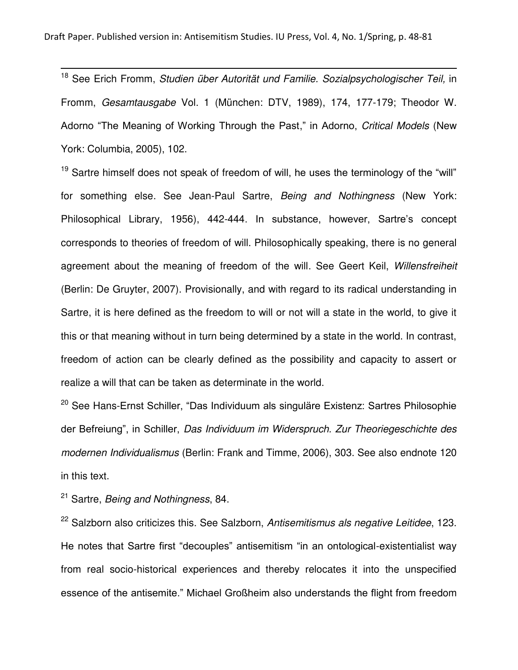<sup>18</sup> See Erich Fromm, *Studien über Autorität und Familie. Sozialpsychologischer Teil,* in Fromm, *Gesamtausgabe* Vol. 1 (München: DTV, 1989), 174, 177-179; Theodor W. Adorno "The Meaning of Working Through the Past," in Adorno, *Critical Models* (New York: Columbia, 2005), 102.

 $19$  Sartre himself does not speak of freedom of will, he uses the terminology of the "will" for something else. See Jean-Paul Sartre, *Being and Nothingness* (New York: Philosophical Library, 1956), 442-444. In substance, however, Sartre's concept corresponds to theories of freedom of will. Philosophically speaking, there is no general agreement about the meaning of freedom of the will. See Geert Keil, *Willensfreiheit* (Berlin: De Gruyter, 2007). Provisionally, and with regard to its radical understanding in Sartre, it is here defined as the freedom to will or not will a state in the world, to give it this or that meaning without in turn being determined by a state in the world. In contrast, freedom of action can be clearly defined as the possibility and capacity to assert or realize a will that can be taken as determinate in the world.

 $20$  See Hans-Ernst Schiller, "Das Individuum als singuläre Existenz: Sartres Philosophie der Befreiung", in Schiller, *Das Individuum im Widerspruch. Zur Theoriegeschichte des modernen Individualismus* (Berlin: Frank and Timme, 2006), 303. See also endnote 120 in this text.

<sup>21</sup> Sartre, *Being and Nothingness*, 84.

l

<sup>22</sup> Salzborn also criticizes this. See Salzborn, *Antisemitismus als negative Leitidee*, 123. He notes that Sartre first "decouples" antisemitism "in an ontological-existentialist way from real socio-historical experiences and thereby relocates it into the unspecified essence of the antisemite." Michael Großheim also understands the flight from freedom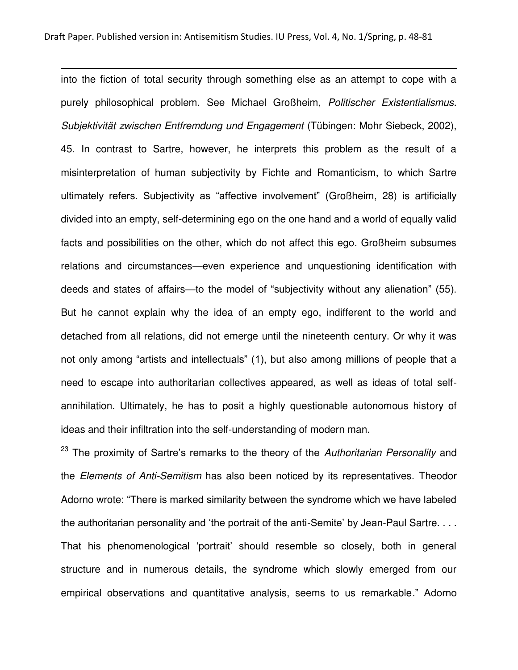l

into the fiction of total security through something else as an attempt to cope with a purely philosophical problem. See Michael Großheim, *Politischer Existentialismus. Subjektivität zwischen Entfremdung und Engagement* (Tübingen: Mohr Siebeck, 2002), 45. In contrast to Sartre, however, he interprets this problem as the result of a misinterpretation of human subjectivity by Fichte and Romanticism, to which Sartre ultimately refers. Subjectivity as "affective involvement" (Großheim, 28) is artificially divided into an empty, self-determining ego on the one hand and a world of equally valid facts and possibilities on the other, which do not affect this ego. Großheim subsumes relations and circumstances—even experience and unquestioning identification with deeds and states of affairs—to the model of "subjectivity without any alienation" (55). But he cannot explain why the idea of an empty ego, indifferent to the world and detached from all relations, did not emerge until the nineteenth century. Or why it was not only among "artists and intellectuals" (1), but also among millions of people that a need to escape into authoritarian collectives appeared, as well as ideas of total selfannihilation. Ultimately, he has to posit a highly questionable autonomous history of ideas and their infiltration into the self-understanding of modern man.

<sup>23</sup> The proximity of Sartre's remarks to the theory of the *Authoritarian Personality* and the *Elements of Anti-Semitism* has also been noticed by its representatives. Theodor Adorno wrote: "There is marked similarity between the syndrome which we have labeled the authoritarian personality and 'the portrait of the anti-Semite' by Jean-Paul Sartre. . . . That his phenomenological 'portrait' should resemble so closely, both in general structure and in numerous details, the syndrome which slowly emerged from our empirical observations and quantitative analysis, seems to us remarkable." Adorno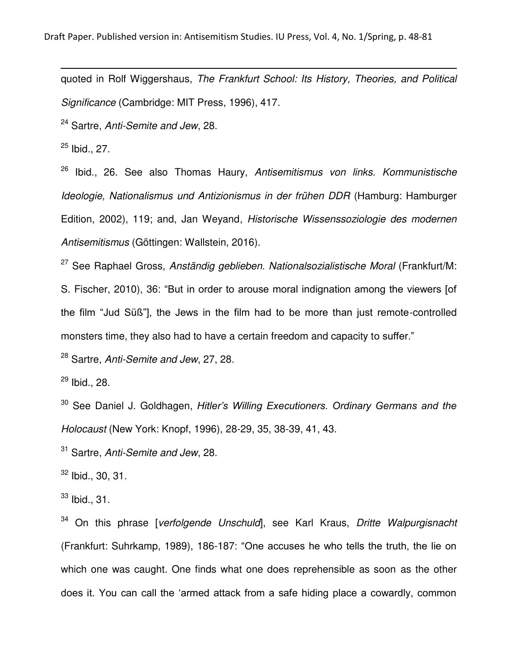quoted in Rolf Wiggershaus, *The Frankfurt School: Its History, Theories, and Political Significance* (Cambridge: MIT Press, 1996), 417.

<sup>24</sup> Sartre, *Anti-Semite and Jew*, 28.

 $25$  Ibid., 27.

l

<sup>26</sup> Ibid., 26. See also Thomas Haury, *Antisemitismus von links. Kommunistische Ideologie, Nationalismus und Antizionismus in der frühen DDR* (Hamburg: Hamburger Edition, 2002), 119; and, Jan Weyand, *Historische Wissenssoziologie des modernen Antisemitismus* (Göttingen: Wallstein, 2016).

<sup>27</sup> See Raphael Gross, *Anständig geblieben. Nationalsozialistische Moral* (Frankfurt/M:

S. Fischer, 2010), 36: "But in order to arouse moral indignation among the viewers [of the film "Jud Süß"], the Jews in the film had to be more than just remote-controlled monsters time, they also had to have a certain freedom and capacity to suffer."

<sup>28</sup> Sartre, *Anti-Semite and Jew*, 27, 28.

 $29$  Ibid., 28.

<sup>30</sup> See Daniel J. Goldhagen, *Hitler's Willing Executioners. Ordinary Germans and the Holocaust* (New York: Knopf, 1996), 28-29, 35, 38-39, 41, 43.

<sup>31</sup> Sartre, *Anti-Semite and Jew*, 28.

 $32$  Ibid., 30, 31.

 $33$  Ibid., 31.

<sup>34</sup> On this phrase [*verfolgende Unschuld*], see Karl Kraus, *Dritte Walpurgisnacht* (Frankfurt: Suhrkamp, 1989), 186-187: "One accuses he who tells the truth, the lie on which one was caught. One finds what one does reprehensible as soon as the other does it. You can call the 'armed attack from a safe hiding place a cowardly, common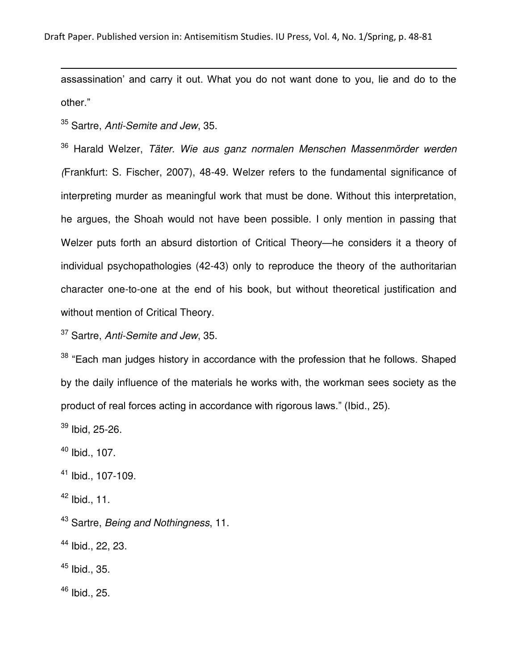assassination' and carry it out. What you do not want done to you, lie and do to the other."

<sup>35</sup> Sartre, *Anti-Semite and Jew*, 35.

l

<sup>36</sup> Harald Welzer, *Täter. Wie aus ganz normalen Menschen Massenmörder werden (*Frankfurt: S. Fischer, 2007), 48-49. Welzer refers to the fundamental significance of interpreting murder as meaningful work that must be done. Without this interpretation, he argues, the Shoah would not have been possible. I only mention in passing that Welzer puts forth an absurd distortion of Critical Theory—he considers it a theory of individual psychopathologies (42-43) only to reproduce the theory of the authoritarian character one-to-one at the end of his book, but without theoretical justification and without mention of Critical Theory.

<sup>37</sup> Sartre, *Anti-Semite and Jew*, 35.

 $38$  "Each man judges history in accordance with the profession that he follows. Shaped by the daily influence of the materials he works with, the workman sees society as the product of real forces acting in accordance with rigorous laws." (Ibid., 25).

 $39$  Ibid, 25-26.

 $40$  Ibid., 107.

 $41$  Ibid., 107-109.

 $42$  Ibid., 11.

<sup>43</sup> Sartre, *Being and Nothingness*, 11.

<sup>44</sup> Ibid., 22, 23.

 $45$  Ibid., 35.

 $46$  Ibid., 25.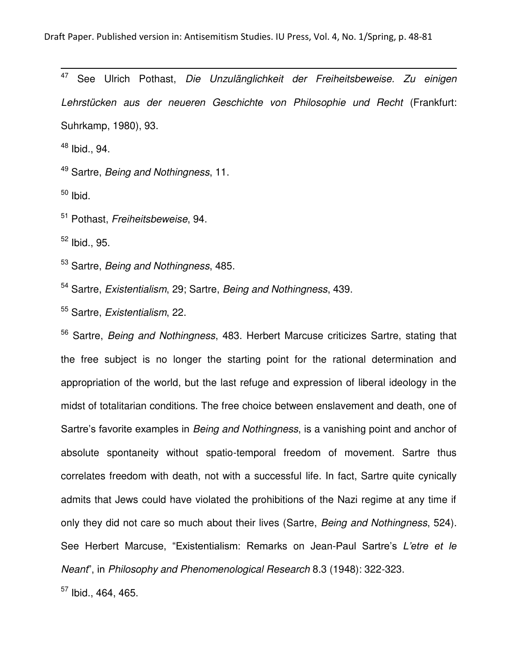47 <sup>47</sup> See Ulrich Pothast, *Die Unzulänglichkeit der Freiheitsbeweise. Zu einigen Lehrstücken aus der neueren Geschichte von Philosophie und Recht* (Frankfurt: Suhrkamp, 1980), 93.

<sup>48</sup> Ibid., 94.

<sup>49</sup> Sartre, *Being and Nothingness*, 11.

 $50$  Ibid.

<sup>51</sup> Pothast, *Freiheitsbeweise*, 94.

 $52$  Ibid., 95.

<sup>53</sup> Sartre, *Being and Nothingness*, 485.

<sup>54</sup> Sartre, *Existentialism*, 29; Sartre, *Being and Nothingness*, 439.

<sup>55</sup> Sartre, *Existentialism*, 22.

<sup>56</sup> Sartre, *Being and Nothingness*, 483. Herbert Marcuse criticizes Sartre, stating that the free subject is no longer the starting point for the rational determination and appropriation of the world, but the last refuge and expression of liberal ideology in the midst of totalitarian conditions. The free choice between enslavement and death, one of Sartre's favorite examples in *Being and Nothingness*, is a vanishing point and anchor of absolute spontaneity without spatio-temporal freedom of movement. Sartre thus correlates freedom with death, not with a successful life. In fact, Sartre quite cynically admits that Jews could have violated the prohibitions of the Nazi regime at any time if only they did not care so much about their lives (Sartre, *Being and Nothingness*, 524). See Herbert Marcuse, "Existentialism: Remarks on Jean-Paul Sartre's *L'etre et le Neant*", in *Philosophy and Phenomenological Research* 8.3 (1948): 322-323.  $57$  Ibid., 464, 465.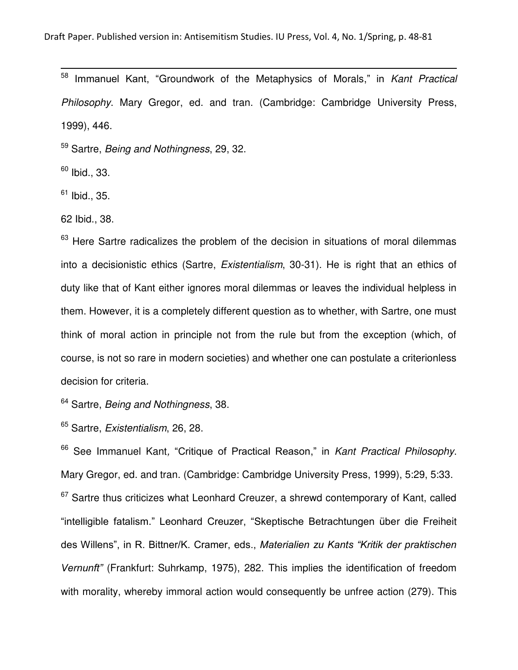Immanuel Kant, "Groundwork of the Metaphysics of Morals," in *Kant Practical Philosophy*. Mary Gregor, ed. and tran. (Cambridge: Cambridge University Press, 1999), 446.

<sup>59</sup> Sartre, *Being and Nothingness*, 29, 32.

 $60$  Ibid., 33.

l

 $61$  Ibid., 35.

62 Ibid., 38.

 $63$  Here Sartre radicalizes the problem of the decision in situations of moral dilemmas into a decisionistic ethics (Sartre, *Existentialism*, 30-31). He is right that an ethics of duty like that of Kant either ignores moral dilemmas or leaves the individual helpless in them. However, it is a completely different question as to whether, with Sartre, one must think of moral action in principle not from the rule but from the exception (which, of course, is not so rare in modern societies) and whether one can postulate a criterionless decision for criteria.

<sup>64</sup> Sartre, *Being and Nothingness*, 38.

<sup>65</sup> Sartre, *Existentialism*, 26, 28.

<sup>66</sup> See Immanuel Kant*,* "Critique of Practical Reason," in *Kant Practical Philosophy*. Mary Gregor, ed. and tran. (Cambridge: Cambridge University Press, 1999), 5:29, 5:33.  $67$  Sartre thus criticizes what Leonhard Creuzer, a shrewd contemporary of Kant, called "intelligible fatalism." Leonhard Creuzer, "Skeptische Betrachtungen über die Freiheit des Willens", in R. Bittner/K. Cramer, eds., *Materialien zu Kants "Kritik der praktischen Vernunft"* (Frankfurt: Suhrkamp, 1975), 282. This implies the identification of freedom with morality, whereby immoral action would consequently be unfree action (279). This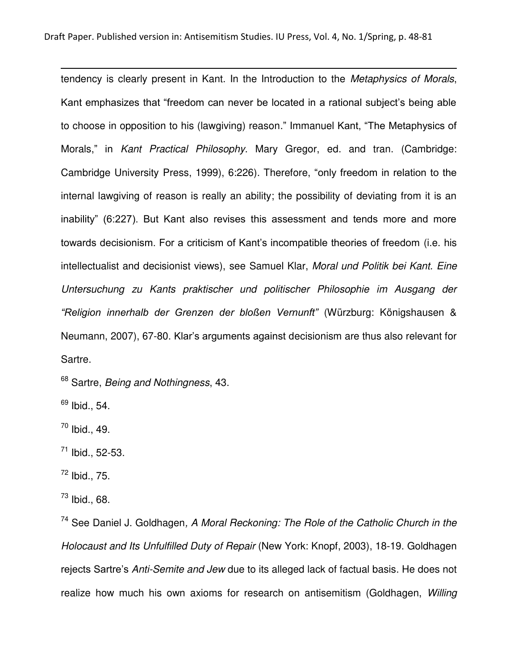tendency is clearly present in Kant. In the Introduction to the *Metaphysics of Morals*, Kant emphasizes that "freedom can never be located in a rational subject's being able to choose in opposition to his (lawgiving) reason." Immanuel Kant, "The Metaphysics of Morals," in *Kant Practical Philosophy*. Mary Gregor, ed. and tran. (Cambridge: Cambridge University Press, 1999), 6:226). Therefore, "only freedom in relation to the internal lawgiving of reason is really an ability; the possibility of deviating from it is an inability" (6:227). But Kant also revises this assessment and tends more and more towards decisionism. For a criticism of Kant's incompatible theories of freedom (i.e. his intellectualist and decisionist views), see Samuel Klar, *Moral und Politik bei Kant. Eine Untersuchung zu Kants praktischer und politischer Philosophie im Ausgang der "Religion innerhalb der Grenzen der bloßen Vernunft"* (Würzburg: Königshausen & Neumann, 2007), 67-80. Klar's arguments against decisionism are thus also relevant for Sartre.

<sup>68</sup> Sartre, *Being and Nothingness*, 43.

 $69$  Ibid., 54.

l

 $70$  Ibid., 49.

 $71$  Ibid., 52-53.

 $^{72}$  Ibid., 75.

 $^{73}$  Ibid., 68.

<sup>74</sup> See Daniel J. Goldhagen*, A Moral Reckoning: The Role of the Catholic Church in the Holocaust and Its Unfulfilled Duty of Repair* (New York: Knopf, 2003), 18-19. Goldhagen rejects Sartre's *Anti-Semite and Jew* due to its alleged lack of factual basis. He does not realize how much his own axioms for research on antisemitism (Goldhagen, *Willing*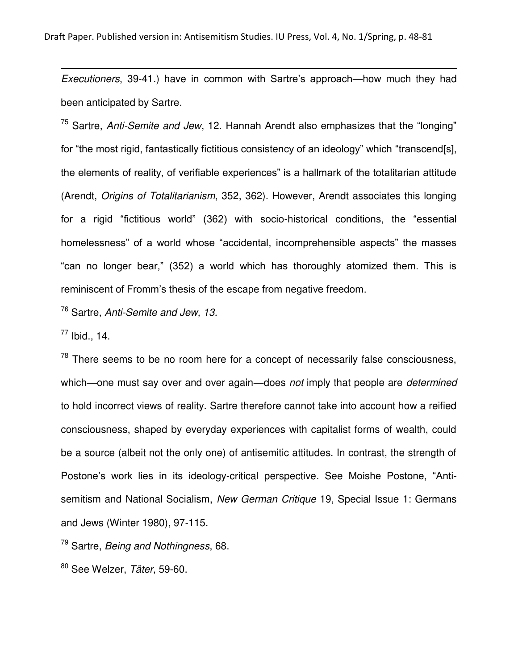*Executioners*, 39-41.) have in common with Sartre's approach—how much they had been anticipated by Sartre.

<sup>75</sup> Sartre, *Anti-Semite and Jew*, 12. Hannah Arendt also emphasizes that the "longing" for "the most rigid, fantastically fictitious consistency of an ideology" which "transcend[s], the elements of reality, of verifiable experiences" is a hallmark of the totalitarian attitude (Arendt, *Origins of Totalitarianism*, 352, 362). However, Arendt associates this longing for a rigid "fictitious world" (362) with socio-historical conditions, the "essential homelessness" of a world whose "accidental, incomprehensible aspects" the masses "can no longer bear," (352) a world which has thoroughly atomized them. This is reminiscent of Fromm's thesis of the escape from negative freedom.

<sup>76</sup> Sartre, *Anti-Semite and Jew, 13.*

 $77$  Ibid., 14.

l

 $78$  There seems to be no room here for a concept of necessarily false consciousness, which—one must say over and over again—does *not* imply that people are *determined* to hold incorrect views of reality. Sartre therefore cannot take into account how a reified consciousness, shaped by everyday experiences with capitalist forms of wealth, could be a source (albeit not the only one) of antisemitic attitudes. In contrast, the strength of Postone's work lies in its ideology-critical perspective. See Moishe Postone, "Antisemitism and National Socialism, *New German Critique* 19, Special Issue 1: Germans and Jews (Winter 1980), 97-115.

<sup>79</sup> Sartre, *Being and Nothingness*, 68.

<sup>80</sup> See Welzer, *Täter*, 59-60.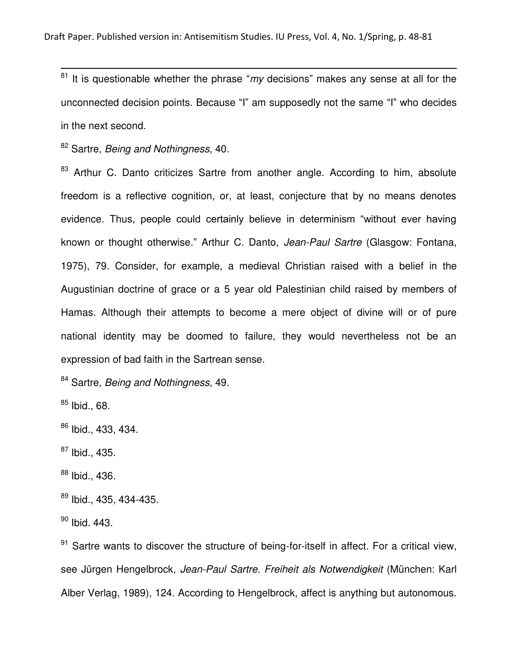<sup>81</sup> It is questionable whether the phrase "*my* decisions" makes any sense at all for the unconnected decision points. Because "I" am supposedly not the same "I" who decides in the next second.

<sup>82</sup> Sartre, *Being and Nothingness*, 40.

<sup>83</sup> Arthur C. Danto criticizes Sartre from another angle. According to him, absolute freedom is a reflective cognition, or, at least, conjecture that by no means denotes evidence. Thus, people could certainly believe in determinism "without ever having known or thought otherwise." Arthur C. Danto, *Jean-Paul Sartre* (Glasgow: Fontana, 1975), 79. Consider, for example, a medieval Christian raised with a belief in the Augustinian doctrine of grace or a 5 year old Palestinian child raised by members of Hamas. Although their attempts to become a mere object of divine will or of pure national identity may be doomed to failure, they would nevertheless not be an expression of bad faith in the Sartrean sense.

<sup>84</sup> Sartre, *Being and Nothingness*, 49.

 $85$  Ibid., 68.

l

<sup>86</sup> Ibid., 433, 434.

 $87$  Ibid., 435.

 $88$  Ibid., 436.

89 Ibid., 435, 434-435.

 $90$  Ibid. 443.

 $91$  Sartre wants to discover the structure of being-for-itself in affect. For a critical view, see Jürgen Hengelbrock, *Jean-Paul Sartre. Freiheit als Notwendigkeit* (München: Karl Alber Verlag, 1989), 124. According to Hengelbrock, affect is anything but autonomous.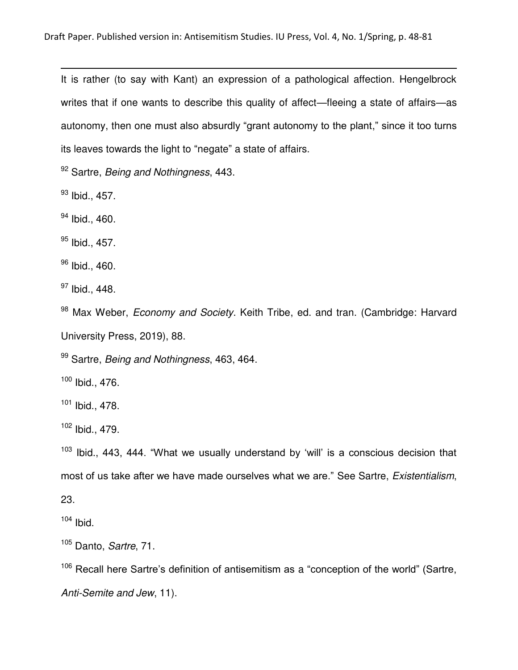It is rather (to say with Kant) an expression of a pathological affection. Hengelbrock writes that if one wants to describe this quality of affect—fleeing a state of affairs—as autonomy, then one must also absurdly "grant autonomy to the plant," since it too turns its leaves towards the light to "negate" a state of affairs.

<sup>92</sup> Sartre, *Being and Nothingness*, 443.

93 Ibid., 457.

l

<sup>94</sup> Ibid., 460.

 $95$  Ibid., 457.

<sup>96</sup> Ibid., 460.

<sup>97</sup> Ibid., 448.

<sup>98</sup> Max Weber, *Economy and Society*. Keith Tribe, ed. and tran. (Cambridge: Harvard University Press, 2019), 88.

<sup>99</sup> Sartre, *Being and Nothingness*, 463, 464.

<sup>100</sup> Ibid., 476.

 $101$  Ibid., 478.

<sup>102</sup> Ibid., 479.

 $103$  Ibid., 443, 444. "What we usually understand by 'will' is a conscious decision that most of us take after we have made ourselves what we are." See Sartre, *Existentialism*,

23.

 $104$  Ibid.

<sup>105</sup> Danto, *Sartre*, 71.

<sup>106</sup> Recall here Sartre's definition of antisemitism as a "conception of the world" (Sartre, *Anti-Semite and Jew*, 11).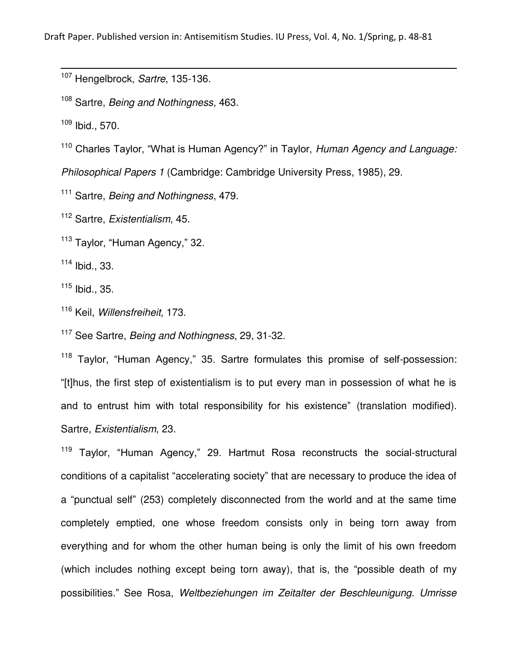<sup>107</sup> Hengelbrock, *Sartre*, 135-136.

<sup>108</sup> Sartre, *Being and Nothingness*, 463.

<sup>109</sup> Ibid., 570.

l

<sup>110</sup> Charles Taylor, "What is Human Agency?" in Taylor, *Human Agency and Language:* 

*Philosophical Papers 1* (Cambridge: Cambridge University Press, 1985), 29.

<sup>111</sup> Sartre, *Being and Nothingness*, 479.

<sup>112</sup> Sartre, *Existentialism*, 45.

<sup>113</sup> Taylor, "Human Agency," 32.

<sup>114</sup> Ibid., 33.

 $115$  Ibid., 35.

<sup>116</sup> Keil, *Willensfreiheit,* 173.

<sup>117</sup> See Sartre, *Being and Nothingness*, 29, 31-32.

<sup>118</sup> Taylor, "Human Agency," 35. Sartre formulates this promise of self-possession: "[t]hus, the first step of existentialism is to put every man in possession of what he is and to entrust him with total responsibility for his existence" (translation modified). Sartre, *Existentialism*, 23.

<sup>119</sup> Taylor, "Human Agency," 29. Hartmut Rosa reconstructs the social-structural conditions of a capitalist "accelerating society" that are necessary to produce the idea of a "punctual self" (253) completely disconnected from the world and at the same time completely emptied, one whose freedom consists only in being torn away from everything and for whom the other human being is only the limit of his own freedom (which includes nothing except being torn away), that is, the "possible death of my possibilities." See Rosa, *Weltbeziehungen im Zeitalter der Beschleunigung. Umrisse*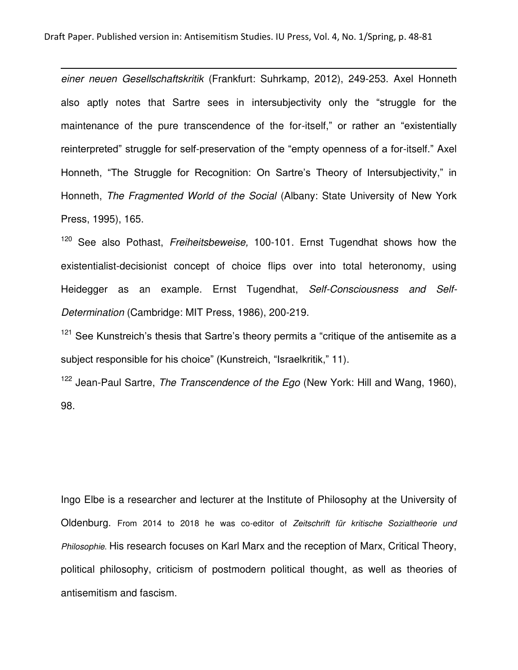l

*einer neuen Gesellschaftskritik* (Frankfurt: Suhrkamp, 2012), 249-253. Axel Honneth also aptly notes that Sartre sees in intersubjectivity only the "struggle for the maintenance of the pure transcendence of the for-itself," or rather an "existentially reinterpreted" struggle for self-preservation of the "empty openness of a for-itself." Axel Honneth, "The Struggle for Recognition: On Sartre's Theory of Intersubjectivity," in Honneth, *The Fragmented World of the Social* (Albany: State University of New York Press, 1995), 165.

<sup>120</sup> See also Pothast, *Freiheitsbeweise,* 100-101. Ernst Tugendhat shows how the existentialist-decisionist concept of choice flips over into total heteronomy, using Heidegger as an example. Ernst Tugendhat, *Self-Consciousness and Self-Determination* (Cambridge: MIT Press, 1986), 200-219.

 $121$  See Kunstreich's thesis that Sartre's theory permits a "critique of the antisemite as a subject responsible for his choice" (Kunstreich, "Israelkritik," 11).

<sup>122</sup> Jean-Paul Sartre, *The Transcendence of the Ego* (New York: Hill and Wang, 1960), 98.

Ingo Elbe is a researcher and lecturer at the Institute of Philosophy at the University of Oldenburg. From 2014 to 2018 he was co-editor of *Zeitschrift für kritische Sozialtheorie und Philosophie*. His research focuses on Karl Marx and the reception of Marx, Critical Theory, political philosophy, criticism of postmodern political thought, as well as theories of antisemitism and fascism.